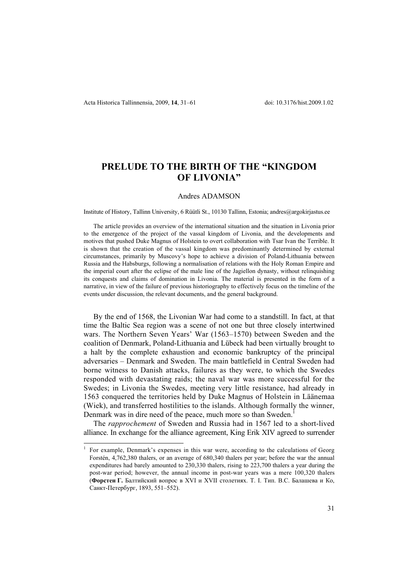l

# **PRELUDE TO THE BIRTH OF THE "KINGDOM OF LIVONIA**"

### Andres ADAMSON

Institute of History, Tallinn University, 6 Rüütli St., 10130 Tallinn, Estonia; andres@argokirjastus.ee

The article provides an overview of the international situation and the situation in Livonia prior to the emergence of the project of the vassal kingdom of Livonia, and the developments and motives that pushed Duke Magnus of Holstein to overt collaboration with Tsar Ivan the Terrible. It is shown that the creation of the vassal kingdom was predominantly determined by external circumstances, primarily by Muscovy's hope to achieve a division of Poland-Lithuania between Russia and the Habsburgs, following a normalisation of relations with the Holy Roman Empire and the imperial court after the eclipse of the male line of the Jagiellon dynasty, without relinquishing its conquests and claims of domination in Livonia. The material is presented in the form of a narrative, in view of the failure of previous historiography to effectively focus on the timeline of the events under discussion, the relevant documents, and the general background.

By the end of 1568, the Livonian War had come to a standstill. In fact, at that time the Baltic Sea region was a scene of not one but three closely intertwined wars. The Northern Seven Years' War (1563–1570) between Sweden and the coalition of Denmark, Poland-Lithuania and Lübeck had been virtually brought to a halt by the complete exhaustion and economic bankruptcy of the principal adversaries - Denmark and Sweden. The main battlefield in Central Sweden had borne witness to Danish attacks, failures as they were, to which the Swedes responded with devastating raids; the naval war was more successful for the Swedes; in Livonia the Swedes, meeting very little resistance, had already in 1563 conquered the territories held by Duke Magnus of Holstein in Läänemaa (Wiek), and transferred hostilities to the islands. Although formally the winner, Denmark was in dire need of the peace, much more so than Sweden.<sup>1</sup>

The *rapprochement* of Sweden and Russia had in 1567 led to a short-lived alliance. In exchange for the alliance agreement, King Erik XIV agreed to surrender

<sup>1</sup> For example, Denmark's expenses in this war were, according to the calculations of Georg Forstén, 4,762,380 thalers, or an average of 680,340 thalers per year; before the war the annual expenditures had barely amounted to 230,330 thalers, rising to 223,700 thalers a year during the post-war period; however, the annual income in post-war years was a mere 100,320 thalers (**Форстен Г.** Балтийский вопрос в XVI и XVII столетиях. Т. I. Тип. В.С. Балашева и Ко, Санкт-Петербург, 1893, 551-552).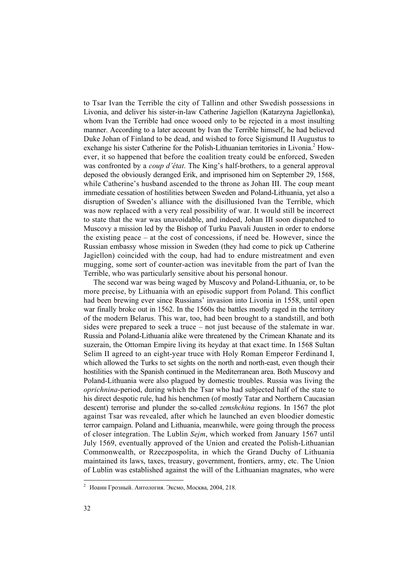to Tsar Ivan the Terrible the city of Tallinn and other Swedish possessions in Livonia, and deliver his sister-in-law Catherine Jagiellon (Katarzyna Jagiellonka), whom Ivan the Terrible had once wooed only to be rejected in a most insulting manner. According to a later account by Ivan the Terrible himself, he had believed Duke Johan of Finland to be dead, and wished to force Sigismund II Augustus to exchange his sister Catherine for the Polish-Lithuanian territories in Livonia.<sup>2</sup> However, it so happened that before the coalition treaty could be enforced, Sweden was confronted by a *coup d'état*. The King's half-brothers, to a general approval deposed the obviously deranged Erik, and imprisoned him on September 29, 1568, while Catherine's husband ascended to the throne as Johan III. The coup meant immediate cessation of hostilities between Sweden and Poland-Lithuania, yet also a disruption of Sweden's alliance with the disillusioned Ivan the Terrible, which was now replaced with a very real possibility of war. It would still be incorrect to state that the war was unavoidable, and indeed, Johan III soon dispatched to Muscovy a mission led by the Bishop of Turku Paavali Juusten in order to endorse the existing peace  $-$  at the cost of concessions, if need be. However, since the Russian embassy whose mission in Sweden (they had come to pick up Catherine Jagiellon) coincided with the coup, had had to endure mistreatment and even mugging, some sort of counter-action was inevitable from the part of Ivan the Terrible, who was particularly sensitive about his personal honour.

The second war was being waged by Muscovy and Poland-Lithuania, or, to be more precise, by Lithuania with an episodic support from Poland. This conflict had been brewing ever since Russians' invasion into Livonia in 1558, until open war finally broke out in 1562. In the 1560s the battles mostly raged in the territory of the modern Belarus. This war, too, had been brought to a standstill, and both sides were prepared to seek a truce  $-$  not just because of the stalemate in war. Russia and Poland-Lithuania alike were threatened by the Crimean Khanate and its suzerain, the Ottoman Empire living its heyday at that exact time. In 1568 Sultan Selim II agreed to an eight-year truce with Holy Roman Emperor Ferdinand I, which allowed the Turks to set sights on the north and north-east, even though their hostilities with the Spanish continued in the Mediterranean area. Both Muscovy and Poland-Lithuania were also plagued by domestic troubles. Russia was living the *oprichnina*-period, during which the Tsar who had subjected half of the state to his direct despotic rule, had his henchmen (of mostly Tatar and Northern Caucasian descent) terrorise and plunder the so-called *zemshchina* regions. In 1567 the plot against Tsar was revealed, after which he launched an even bloodier domestic terror campaign. Poland and Lithuania, meanwhile, were going through the process of closer integration. The Lublin *Sejm*, which worked from January 1567 until July 1569, eventually approved of the Union and created the Polish-Lithuanian Commonwealth, or Rzeczpospolita, in which the Grand Duchy of Lithuania maintained its laws, taxes, treasury, government, frontiers, army, etc. The Union of Lublin was established against the will of the Lithuanian magnates, who were

<sup>2</sup> Иоанн Грозный. Антология. Эксмо, Москва, 2004, 218.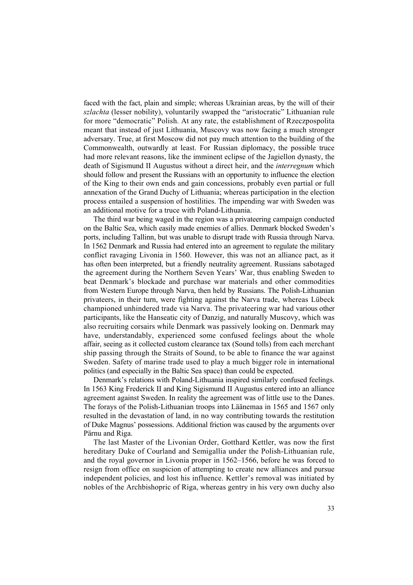faced with the fact, plain and simple; whereas Ukrainian areas, by the will of their *szlachta* (lesser nobility), voluntarily swapped the "aristocratic" Lithuanian rule for more "democratic" Polish. At any rate, the establishment of Rzeczpospolita meant that instead of just Lithuania, Muscovy was now facing a much stronger adversary. True, at first Moscow did not pay much attention to the building of the Commonwealth, outwardly at least. For Russian diplomacy, the possible truce had more relevant reasons, like the imminent eclipse of the Jagiellon dynasty, the death of Sigismund II Augustus without a direct heir, and the *interregnum* which should follow and present the Russians with an opportunity to influence the election of the King to their own ends and gain concessions, probably even partial or full annexation of the Grand Duchy of Lithuania; whereas participation in the election process entailed a suspension of hostilities. The impending war with Sweden was an additional motive for a truce with Poland-Lithuania.

The third war being waged in the region was a privateering campaign conducted on the Baltic Sea, which easily made enemies of allies. Denmark blocked Swedenís ports, including Tallinn, but was unable to disrupt trade with Russia through Narva. In 1562 Denmark and Russia had entered into an agreement to regulate the military conflict ravaging Livonia in 1560. However, this was not an alliance pact, as it has often been interpreted, but a friendly neutrality agreement. Russians sabotaged the agreement during the Northern Seven Years' War, thus enabling Sweden to beat Denmark's blockade and purchase war materials and other commodities from Western Europe through Narva, then held by Russians. The Polish-Lithuanian privateers, in their turn, were fighting against the Narva trade, whereas Lübeck championed unhindered trade via Narva. The privateering war had various other participants, like the Hanseatic city of Danzig, and naturally Muscovy, which was also recruiting corsairs while Denmark was passively looking on. Denmark may have, understandably, experienced some confused feelings about the whole affair, seeing as it collected custom clearance tax (Sound tolls) from each merchant ship passing through the Straits of Sound, to be able to finance the war against Sweden. Safety of marine trade used to play a much bigger role in international politics (and especially in the Baltic Sea space) than could be expected.

Denmark's relations with Poland-Lithuania inspired similarly confused feelings. In 1563 King Frederick II and King Sigismund II Augustus entered into an alliance agreement against Sweden. In reality the agreement was of little use to the Danes. The forays of the Polish-Lithuanian troops into Läänemaa in 1565 and 1567 only resulted in the devastation of land, in no way contributing towards the restitution of Duke Magnusí possessions. Additional friction was caused by the arguments over Pärnu and Riga.

The last Master of the Livonian Order, Gotthard Kettler, was now the first hereditary Duke of Courland and Semigallia under the Polish-Lithuanian rule, and the royal governor in Livonia proper in  $1562-1566$ , before he was forced to resign from office on suspicion of attempting to create new alliances and pursue independent policies, and lost his influence. Kettler's removal was initiated by nobles of the Archbishopric of Riga, whereas gentry in his very own duchy also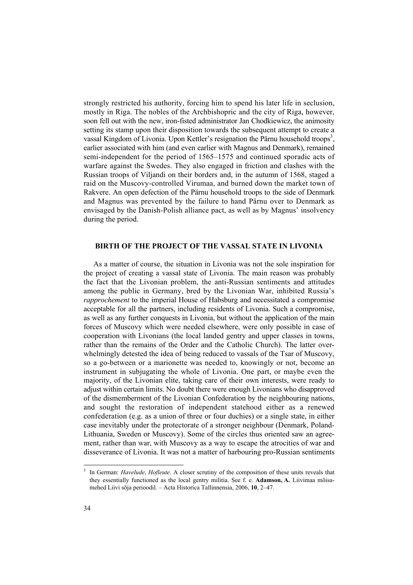strongly restricted his authority, forcing him to spend his later life in seclusion, mostly in Riga. The nobles of the Archbishopric and the city of Riga, however, soon fell out with the new, iron-fisted administrator Jan Chodkiewicz, the animosity setting its stamp upon their disposition towards the subsequent attempt to create a vassal Kingdom of Livonia. Upon Kettler's resignation the Pärnu household troops<sup>3</sup>, earlier associated with him (and even earlier with Magnus and Denmark), remained semi-independent for the period of 1565–1575 and continued sporadic acts of warfare against the Swedes. They also engaged in friction and clashes with the Russian troops of Viljandi on their borders and, in the autumn of 1568, staged a raid on the Muscovy-controlled Virumaa, and burned down the market town of Rakvere. An open defection of the Pärnu household troops to the side of Denmark and Magnus was prevented by the failure to hand Pärnu over to Denmark as envisaged by the Danish-Polish alliance pact, as well as by Magnus' insolvency during the period.

#### **BIRTH OF THE PROJECT OF THE VASSAL STATE IN LIVONIA**

As a matter of course, the situation in Livonia was not the sole inspiration for the project of creating a vassal state of Livonia. The main reason was probably the fact that the Livonian problem, the anti-Russian sentiments and attitudes among the public in Germany, bred by the Livonian War, inhibited Russia's *rapprochement* to the imperial House of Habsburg and necessitated a compromise acceptable for all the partners, including residents of Livonia. Such a compromise, as well as any further conquests in Livonia, but without the application of the main forces of Muscovy which were needed elsewhere, were only possible in case of cooperation with Livonians (the local landed gentry and upper classes in towns, rather than the remains of the Order and the Catholic Church). The latter overwhelmingly detested the idea of being reduced to vassals of the Tsar of Muscovy, so a go-between or a marionette was needed to, knowingly or not, become an instrument in subjugating the whole of Livonia. One part, or maybe even the majority, of the Livonian elite, taking care of their own interests, were ready to adjust within certain limits. No doubt there were enough Livonians who disapproved of the dismemberment of the Livonian Confederation by the neighbouring nations, and sought the restoration of independent statehood either as a renewed confederation (e.g. as a union of three or four duchies) or a single state, in either case inevitably under the protectorate of a stronger neighbour (Denmark, Poland-Lithuania, Sweden or Muscovy). Some of the circles thus oriented saw an agreement, rather than war, with Muscovy as a way to escape the atrocities of war and disseverance of Livonia. It was not a matter of harbouring pro-Russian sentiments

<sup>&</sup>lt;sup>3</sup> In German: *Havelude*, *Hofleute*. A closer scrutiny of the composition of these units reveals that they essentially functioned as the local gentry militia. See f. e. Adamson, A. Liivimaa mõisamehed Liivi sõja perioodil. – Acta Historica Tallinnensia, 2006, **10**, 2–47.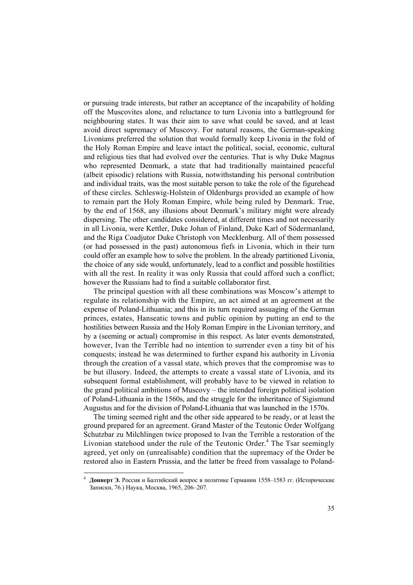or pursuing trade interests, but rather an acceptance of the incapability of holding off the Muscovites alone, and reluctance to turn Livonia into a battleground for neighbouring states. It was their aim to save what could be saved, and at least avoid direct supremacy of Muscovy. For natural reasons, the German-speaking Livonians preferred the solution that would formally keep Livonia in the fold of the Holy Roman Empire and leave intact the political, social, economic, cultural and religious ties that had evolved over the centuries. That is why Duke Magnus who represented Denmark, a state that had traditionally maintained peaceful (albeit episodic) relations with Russia, notwithstanding his personal contribution and individual traits, was the most suitable person to take the role of the figurehead of these circles. Schleswig-Holstein of Oldenburgs provided an example of how to remain part the Holy Roman Empire, while being ruled by Denmark. True, by the end of 1568, any illusions about Denmark's military might were already dispersing. The other candidates considered, at different times and not necessarily in all Livonia, were Kettler, Duke Johan of Finland, Duke Karl of Södermanland, and the Riga Coadjutor Duke Christoph von Mecklenburg. All of them possessed (or had possessed in the past) autonomous fiefs in Livonia, which in their turn could offer an example how to solve the problem. In the already partitioned Livonia, the choice of any side would, unfortunately, lead to a conflict and possible hostilities with all the rest. In reality it was only Russia that could afford such a conflict; however the Russians had to find a suitable collaborator first.

The principal question with all these combinations was Moscow's attempt to regulate its relationship with the Empire, an act aimed at an agreement at the expense of Poland-Lithuania; and this in its turn required assuaging of the German princes, estates, Hanseatic towns and public opinion by putting an end to the hostilities between Russia and the Holy Roman Empire in the Livonian territory, and by a (seeming or actual) compromise in this respect. As later events demonstrated, however, Ivan the Terrible had no intention to surrender even a tiny bit of his conquests; instead he was determined to further expand his authority in Livonia through the creation of a vassal state, which proves that the compromise was to be but illusory. Indeed, the attempts to create a vassal state of Livonia, and its subsequent formal establishment, will probably have to be viewed in relation to the grand political ambitions of Muscovy  $-$  the intended foreign political isolation of Poland-Lithuania in the 1560s, and the struggle for the inheritance of Sigismund Augustus and for the division of Poland-Lithuania that was launched in the 1570s.

The timing seemed right and the other side appeared to be ready, or at least the ground prepared for an agreement. Grand Master of the Teutonic Order Wolfgang Schutzbar zu Milchlingen twice proposed to Ivan the Terrible a restoration of the Livonian statehood under the rule of the Teutonic Order.<sup>4</sup> The Tsar seemingly agreed, yet only on (unrealisable) condition that the supremacy of the Order be restored also in Eastern Prussia, and the latter be freed from vassalage to Poland-

<sup>4</sup> Доннерт Э. Россия и Балтийский вопрос в политике Германии 1558-1583 гг. (Исторические Записки, 76.) Наука, Москва, 1965, 206-207.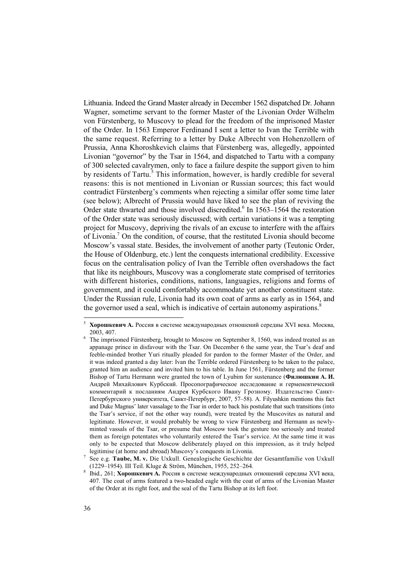Lithuania. Indeed the Grand Master already in December 1562 dispatched Dr. Johann Wagner, sometime servant to the former Master of the Livonian Order Wilhelm von Fürstenberg, to Muscovy to plead for the freedom of the imprisoned Master of the Order. In 1563 Emperor Ferdinand I sent a letter to Ivan the Terrible with the same request. Referring to a letter by Duke Albrecht von Hohenzollern of Prussia, Anna Khoroshkevich claims that Fürstenberg was, allegedly, appointed Livonian "governor" by the Tsar in 1564, and dispatched to Tartu with a company of 300 selected cavalrymen, only to face a failure despite the support given to him by residents of Tartu.<sup>5</sup> This information, however, is hardly credible for several reasons: this is not mentioned in Livonian or Russian sources; this fact would contradict Fürstenberg's comments when rejecting a similar offer some time later (see below); Albrecht of Prussia would have liked to see the plan of reviving the Order state thwarted and those involved discredited.<sup>6</sup> In  $1563-1564$  the restoration of the Order state was seriously discussed; with certain variations it was a tempting project for Muscovy, depriving the rivals of an excuse to interfere with the affairs of Livonia.7 On the condition, of course, that the restituted Livonia should become Moscow's vassal state. Besides, the involvement of another party (Teutonic Order, the House of Oldenburg, etc.) lent the conquests international credibility. Excessive focus on the centralisation policy of Ivan the Terrible often overshadows the fact that like its neighbours, Muscovy was a conglomerate state comprised of territories with different histories, conditions, nations, languagies, religions and forms of government, and it could comfortably accommodate yet another constituent state. Under the Russian rule, Livonia had its own coat of arms as early as in 1564, and the governor used a seal, which is indicative of certain autonomy aspirations.<sup>8</sup>

<sup>5</sup> **Хорошкевич A.** Россия в системе международных отношений середиы XVI века. Moсква,

 $2003, 407$ .<br><sup>6</sup> The imprisoned Fürstenberg, brought to Moscow on September 8, 1560, was indeed treated as an appanage prince in disfavour with the Tsar. On December 6 the same year, the Tsar's deaf and feeble-minded brother Yuri ritually pleaded for pardon to the former Master of the Order, and it was indeed granted a day later: Ivan the Terrible ordered Fürstenberg to be taken to the palace, granted him an audience and invited him to his table. In June 1561, Fürstenberg and the former Bishop of Tartu Hermann were granted the town of Lyubim for sustenance (**Филюшкин А. И.** Андрей Михайлович Курбский. Просопографическое исследование и герменевтический комментарий к посланиям Андрея Курбского Ивану Грозному. Издательство Санкт-Петербургского университета, Санкт-Петербург, 2007, 57–58). A. Filyushkin mentions this fact and Duke Magnus' later vassalage to the Tsar in order to back his postulate that such transitions (into the Tsar's service, if not the other way round), were treated by the Muscovites as natural and legitimate. However, it would probably be wrong to view Fürstenberg and Hermann as newlyminted vassals of the Tsar, or presume that Moscow took the gesture too seriously and treated them as foreign potentates who voluntarily entered the Tsar's service. At the same time it was only to be expected that Moscow deliberately played on this impression, as it truly helped legitimise (at home and abroad) Muscovy's conquests in Livonia.

See e.g. **Taube, M. v.** Die Uxkull. Genealogische Geschichte der Gesamtfamilie von Uxkull (1229–1954). III Teil. Kluge & Ström, München, 1955, 252–264.

Ibid., 261; **Хорошкевич A.** Россия в системе международных отношений середиы XVI века, 407. The coat of arms featured a two-headed eagle with the coat of arms of the Livonian Master of the Order at its right foot, and the seal of the Tartu Bishop at its left foot.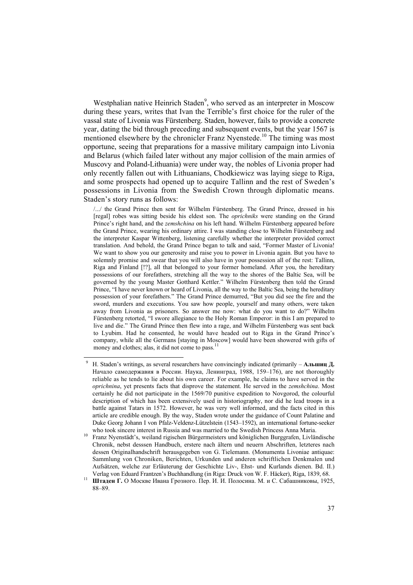Westphalian native Heinrich Staden<sup>9</sup>, who served as an interpreter in Moscow during these years, writes that Ivan the Terrible's first choice for the ruler of the vassal state of Livonia was Fürstenberg. Staden, however, fails to provide a concrete year, dating the bid through preceding and subsequent events, but the year 1567 is mentioned elsewhere by the chronicler Franz Nyenstede.<sup>10</sup> The timing was most opportune, seeing that preparations for a massive military campaign into Livonia and Belarus (which failed later without any major collision of the main armies of Muscovy and Poland-Lithuania) were under way, the nobles of Livonia proper had only recently fallen out with Lithuanians, Chodkiewicz was laying siege to Riga, and some prospects had opened up to acquire Tallinn and the rest of Sweden's possessions in Livonia from the Swedish Crown through diplomatic means. Staden's story runs as follows:

/.../ the Grand Prince then sent for Wilhelm Fürstenberg. The Grand Prince, dressed in his [regal] robes was sitting beside his eldest son. The *oprichniks* were standing on the Grand Prince's right hand, and the *zemshchina* on his left hand. Wilhelm Fürstenberg appeared before the Grand Prince, wearing his ordinary attire. I was standing close to Wilhelm Fürstenberg and the interpreter Kaspar Wittenberg, listening carefully whether the interpreter provided correct translation. And behold, the Grand Prince began to talk and said, "Former Master of Livonia! We want to show you our generosity and raise you to power in Livonia again. But you have to solemnly promise and swear that you will also have in your possession all of the rest: Tallinn, Riga and Finland [!?], all that belonged to your former homeland. After you, the hereditary possessions of our forefathers, stretching all the way to the shores of the Baltic Sea, will be governed by the young Master Gotthard Kettler." Wilhelm Fürstenberg then told the Grand Prince, "I have never known or heard of Livonia, all the way to the Baltic Sea, being the hereditary possession of your forefathers." The Grand Prince demurred, "But you did see the fire and the sword, murders and executions. You saw how people, yourself and many others, were taken away from Livonia as prisoners. So answer me now: what do you want to do?" Wilhelm Fürstenberg retorted, "I swore allegiance to the Holy Roman Emperor: in this I am prepared to live and die." The Grand Prince then flew into a rage, and Wilhelm Fürstenberg was sent back to Lyubim. Had he consented, he would have headed out to Riga in the Grand Prince's company, while all the Germans [staying in Moscow] would have been showered with gifts of money and clothes; alas, it did not come to pass.

<sup>9</sup> H. Staden's writings, as several researchers have convincingly indicated (primarily – Альшиц Д. Начало самодержавия в России. Наука, Ленинград, 1988, 159-176), are not thoroughly reliable as he tends to lie about his own career. For example, he claims to have served in the *oprichnina*, yet presents facts that disprove the statement. He served in the *zemshchina*. Most certainly he did not participate in the 1569/70 punitive expedition to Novgorod, the colourful description of which has been extensively used in historiography, nor did he lead troops in a battle against Tatars in 1572. However, he was very well informed, and the facts cited in this article are credible enough. By the way, Staden wrote under the guidance of Count Palatine and Duke Georg Johann I von Pfalz-Veldenz-Lützelstein (1543–1592), an international fortune-seeker

who took sincere interest in Russia and was married to the Swedish Princess Anna Maria. 10 Franz Nyenstädt's, weiland rigischen Bürgermeisters und königlichen Burggrafen, Livländische Chronik, nebst desssen Handbuch, erstere nach ‰ltern und neuern Abschriften, letzteres nach dessen Originalhandschrift herausgegeben von G. Tielemann. (Monumenta Livoniae antiquae: Sammlung von Chroniken, Berichten, Urkunden und anderen schriftlichen Denkmalen und Aufs‰tzen, welche zur Erl‰uterung der Geschichte Liv-, Ehst- und Kurlands dienen. Bd. II.)

Verlag von Eduard Frantzenís Buchhandlung (in Riga: Druck von W. F. H‰cker), Riga, 1839, 68. 11 **Штаден <sup>Г</sup>.** <sup>О</sup> Москве Ивана Грозного. Пер. И. И. Полосина. М. <sup>и</sup> <sup>С</sup>. Сабашниковы, 1925, 88–89.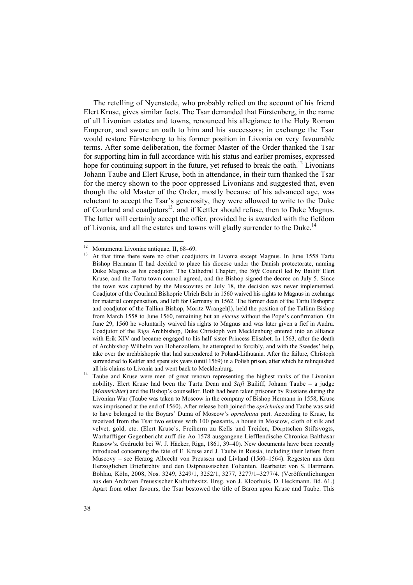The retelling of Nyenstede, who probably relied on the account of his friend Elert Kruse, gives similar facts. The Tsar demanded that Fürstenberg, in the name of all Livonian estates and towns, renounced his allegiance to the Holy Roman Emperor, and swore an oath to him and his successors; in exchange the Tsar would restore Fürstenberg to his former position in Livonia on very favourable terms. After some deliberation, the former Master of the Order thanked the Tsar for supporting him in full accordance with his status and earlier promises, expressed hope for continuing support in the future, yet refused to break the oath.<sup>12</sup> Livonians Johann Taube and Elert Kruse, both in attendance, in their turn thanked the Tsar for the mercy shown to the poor oppressed Livonians and suggested that, even though the old Master of the Order, mostly because of his advanced age, was reluctant to accept the Tsar's generosity, they were allowed to write to the Duke of Courland and coadjutors<sup>13</sup>, and if Kettler should refuse, then to Duke Magnus. The latter will certainly accept the offer, provided he is awarded with the fiefdom of Livonia, and all the estates and towns will gladly surrender to the Duke.<sup>14</sup>

<sup>12</sup> 

<sup>&</sup>lt;sup>12</sup> Monumenta Livoniae antiquae, II, 68–69. <sup>13</sup> At that time there were no other coadjutors in Livonia except Magnus. In June 1558 Tartu Bishop Hermann II had decided to place his diocese under the Danish protectorate, naming Duke Magnus as his coadjutor. The Cathedral Chapter, the *Stift* Council led by Bailiff Elert Kruse, and the Tartu town council agreed, and the Bishop signed the decree on July 5. Since the town was captured by the Muscovites on July 18, the decision was never implemented. Coadjutor of the Courland Bishopric Ulrich Behr in 1560 waived his rights to Magnus in exchange for material compensation, and left for Germany in 1562. The former dean of the Tartu Bishopric and coadjutor of the Tallinn Bishop, Moritz Wrangel(l), held the position of the Tallinn Bishop from March 1558 to June 1560, remaining but an *electus* without the Pope's confirmation. On June 29, 1560 he voluntarily waived his rights to Magnus and was later given a fief in Audru. Coadjutor of the Riga Archbishop, Duke Christoph von Mecklenburg entered into an alliance with Erik XIV and became engaged to his half-sister Princess Elisabet. In 1563, after the death of Archbishop Wilhelm von Hohenzollern, he attempted to forcibly, and with the Swedes' help, take over the archbishopric that had surrendered to Poland-Lithuania. After the failure, Christoph surrendered to Kettler and spent six years (until 1569) in a Polish prison, after which he relinquished

all his claims to Livonia and went back to Mecklenburg. 14 Taube and Kruse were men of great renown representing the highest ranks of the Livonian nobility. Elert Kruse had been the Tartu Dean and *Stift* Bailiff, Johann Taube – a judge (*Mannrichter*) and the Bishop's counsellor. Both had been taken prisoner by Russians during the Livonian War (Taube was taken to Moscow in the company of Bishop Hermann in 1558, Kruse was imprisoned at the end of 1560). After release both joined the *oprichnina* and Taube was said to have belonged to the Boyarsí Duma of Moscowís *oprichnina* part. According to Kruse, he received from the Tsar two estates with 100 peasants, a house in Moscow, cloth of silk and velvet, gold, etc. (Elert Kruse's, Freiherrn zu Kells und Treiden, Dörptschen Stiftsvogts, Warhafftiger Gegenbericht auff die Ao 1578 ausgangene Liefflendische Chronica Balthasar Russow's. Gedruckt bei W. J. Häcker, Riga, 1861, 39–40). New documents have been recently introduced concerning the fate of E. Kruse and J. Taube in Russia, including their letters from Muscovy - see Herzog Albrecht von Preussen und Livland (1560-1564). Regesten aus dem Herzoglichen Briefarchiv und den Ostpreussischen Folianten. Bearbeitet von S. Hartmann. Böhlau, Köln, 2008, Nos. 3249, 3249/1, 3252/1, 3277, 3277/1–3277/4. (Veröffentlichungen aus den Archiven Preussischer Kulturbesitz. Hrsg. von J. Kloorhuis, D. Heckmann. Bd. 61.) Apart from other favours, the Tsar bestowed the title of Baron upon Kruse and Taube. This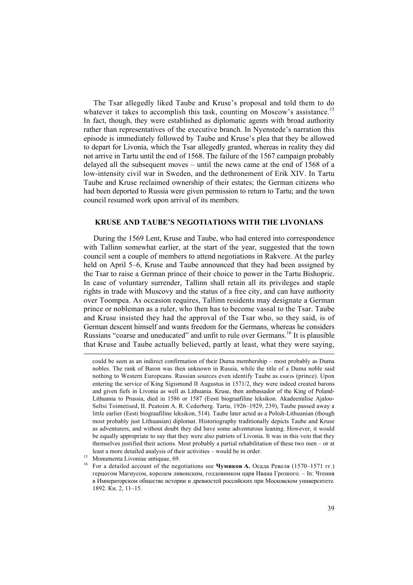The Tsar allegedly liked Taube and Kruse's proposal and told them to do whatever it takes to accomplish this task, counting on Moscow's assistance.<sup>15</sup> In fact, though, they were established as diplomatic agents with broad authority rather than representatives of the executive branch. In Nyenstede's narration this episode is immediately followed by Taube and Kruse's plea that they be allowed to depart for Livonia, which the Tsar allegedly granted, whereas in reality they did not arrive in Tartu until the end of 1568. The failure of the 1567 campaign probably delayed all the subsequent moves  $-$  until the news came at the end of 1568 of a low-intensity civil war in Sweden, and the dethronement of Erik XIV. In Tartu Taube and Kruse reclaimed ownership of their estates; the German citizens who had been deported to Russia were given permission to return to Tartu; and the town council resumed work upon arrival of its members.

#### **KRUSE AND TAUBEíS NEGOTIATIONS WITH THE LIVONIANS**

During the 1569 Lent, Kruse and Taube, who had entered into correspondence with Tallinn somewhat earlier, at the start of the year, suggested that the town council sent a couple of members to attend negotiations in Rakvere. At the parley held on April 5–6, Kruse and Taube announced that they had been assigned by the Tsar to raise a German prince of their choice to power in the Tartu Bishopric. In case of voluntary surrender, Tallinn shall retain all its privileges and staple rights in trade with Muscovy and the status of a free city, and can have authority over Toompea. As occasion requires, Tallinn residents may designate a German prince or nobleman as a ruler, who then has to become vassal to the Tsar. Taube and Kruse insisted they had the approval of the Tsar who, so they said, is of German descent himself and wants freedom for the Germans, whereas he considers Russians "coarse and uneducated" and unfit to rule over Germans.<sup>16</sup> It is plausible that Kruse and Taube actually believed, partly at least, what they were saying,

could be seen as an indirect confirmation of their Duma membership – most probably as Duma nobles. The rank of Baron was then unknown in Russia, while the title of a Duma noble said nothing to Western Europeans. Russian sources even identify Taube as *князь* (prince). Upon entering the service of King Sigismund II Augustus in 1571/2, they were indeed created barons and given fiefs in Livonia as well as Lithuania. Kruse, then ambassador of the King of Poland-Lithuania to Prussia, died in 1586 or 1587 (Eesti biograafiline leksikon. Akadeemilise Ajaloo-Seltsi Toimetised, II. Peatoim A. R. Cederberg. Tartu, 1926–1929, 239), Taube passed away a little earlier (Eesti biograafiline leksikon, 514). Taube later acted as a Polish-Lithuanian (though most probably just Lithuanian) diplomat. Historiography traditionally depicts Taube and Kruse as adventurers, and without doubt they did have some adventurous leaning. However, it would be equally appropriate to say that they were also patriots of Livonia. It was in this vein that they themselves justified their actions. Most probably a partial rehabilitation of these two men  $-$  or at

least a more detailed analysis of their activities – would be in order.<br><sup>15</sup> Monumenta Livoniae antiquae, 69.<br><sup>16</sup> For a detailed account of the negotiations see **Чумиков А.** Осада Ревеля (1570–1571 гг.) герцогом Магнусом, королем ливонским, голдовником царя Ивана Грозного. - In: Чтения в Императорском обществе истории и древностей российских при Московском университете. 1892. Кн. 2, 11-15.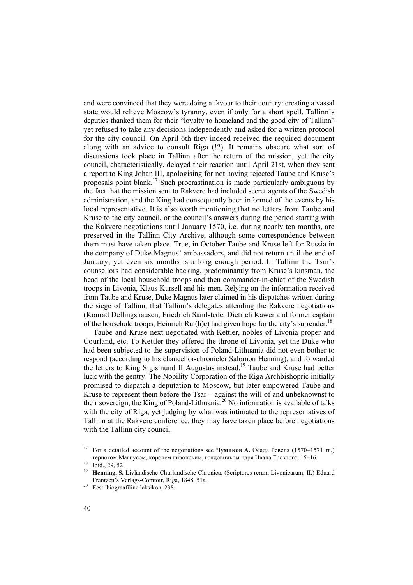and were convinced that they were doing a favour to their country: creating a vassal state would relieve Moscow's tyranny, even if only for a short spell. Tallinn's deputies thanked them for their "loyalty to homeland and the good city of Tallinn" yet refused to take any decisions independently and asked for a written protocol for the city council. On April 6th they indeed received the required document along with an advice to consult Riga (!?). It remains obscure what sort of discussions took place in Tallinn after the return of the mission, yet the city council, characteristically, delayed their reaction until April 21st, when they sent a report to King Johan III, apologising for not having rejected Taube and Kruse's proposals point blank.17 Such procrastination is made particularly ambiguous by the fact that the mission sent to Rakvere had included secret agents of the Swedish administration, and the King had consequently been informed of the events by his local representative. It is also worth mentioning that no letters from Taube and Kruse to the city council, or the council's answers during the period starting with the Rakvere negotiations until January 1570, i.e. during nearly ten months, are preserved in the Tallinn City Archive, although some correspondence between them must have taken place. True, in October Taube and Kruse left for Russia in the company of Duke Magnus' ambassadors, and did not return until the end of January; yet even six months is a long enough period. In Tallinn the Tsar's counsellors had considerable backing, predominantly from Kruse's kinsman, the head of the local household troops and then commander-in-chief of the Swedish troops in Livonia, Klaus Kursell and his men. Relying on the information received from Taube and Kruse, Duke Magnus later claimed in his dispatches written during the siege of Tallinn, that Tallinn's delegates attending the Rakvere negotiations (Konrad Dellingshausen, Friedrich Sandstede, Dietrich Kawer and former captain of the household troops, Heinrich Rut(h)e) had given hope for the city's surrender.<sup>18</sup>

Taube and Kruse next negotiated with Kettler, nobles of Livonia proper and Courland, etc. To Kettler they offered the throne of Livonia, yet the Duke who had been subjected to the supervision of Poland-Lithuania did not even bother to respond (according to his chancellor-chronicler Salomon Henning), and forwarded the letters to King Sigismund II Augustus instead.<sup>19</sup> Taube and Kruse had better luck with the gentry. The Nobility Corporation of the Riga Archbishopric initially promised to dispatch a deputation to Moscow, but later empowered Taube and Kruse to represent them before the Tsar  $-$  against the will of and unbeknownst to their sovereign, the King of Poland-Lithuania.<sup>20</sup> No information is available of talks with the city of Riga, yet judging by what was intimated to the representatives of Tallinn at the Rakvere conference, they may have taken place before negotiations with the Tallinn city council.

<sup>&</sup>lt;sup>17</sup> For a detailed account of the negotiations see **Чумиков А.** Осада Ревеля (1570–1571 гг.) герцогом Магнусом, королем ливонским, голдовником царя Ивана Грозного, 15-16.<br><sup>18</sup> Ibid., 29, 52.<br><sup>19</sup> Ibid., 20, 1<sup>1</sup> Ibid., 20, 1<sup>1</sup> Ibid., 20, 1<sup>1</sup> Ibid., 20, 11<sup>6</sup> Ibid., 20, 11<sup>6</sup>

Henning, S. Livländische Churländische Chronica. (Scriptores rerum Livonicarum, II.) Eduard Frantzenís Verlags-Comtoir, Riga, 1848, 51a. 20 Eesti biograafiline leksikon, 238.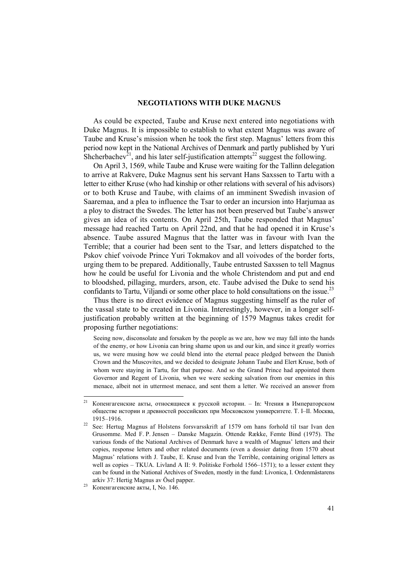## **NEGOTIATIONS WITH DUKE MAGNUS**

As could be expected, Taube and Kruse next entered into negotiations with Duke Magnus. It is impossible to establish to what extent Magnus was aware of Taube and Kruse's mission when he took the first step. Magnus' letters from this period now kept in the National Archives of Denmark and partly published by Yuri Shcherbachev<sup>21</sup>, and his later self-justification attempts<sup>22</sup> suggest the following.

On April 3, 1569, while Taube and Kruse were waiting for the Tallinn delegation to arrive at Rakvere, Duke Magnus sent his servant Hans Saxssen to Tartu with a letter to either Kruse (who had kinship or other relations with several of his advisors) or to both Kruse and Taube, with claims of an imminent Swedish invasion of Saaremaa, and a plea to influence the Tsar to order an incursion into Harjumaa as a ploy to distract the Swedes. The letter has not been preserved but Taube's answer gives an idea of its contents. On April 25th, Taube responded that Magnus' message had reached Tartu on April 22nd, and that he had opened it in Kruse's absence. Taube assured Magnus that the latter was in favour with Ivan the Terrible; that a courier had been sent to the Tsar, and letters dispatched to the Pskov chief voivode Prince Yuri Tokmakov and all voivodes of the border forts, urging them to be prepared. Additionally, Taube entrusted Saxssen to tell Magnus how he could be useful for Livonia and the whole Christendom and put and end to bloodshed, pillaging, murders, arson, etc. Taube advised the Duke to send his confidants to Tartu, Viljandi or some other place to hold consultations on the issue.<sup>23</sup>

Thus there is no direct evidence of Magnus suggesting himself as the ruler of the vassal state to be created in Livonia. Interestingly, however, in a longer selfjustification probably written at the beginning of 1579 Magnus takes credit for proposing further negotiations:

Seeing now, disconsolate and forsaken by the people as we are, how we may fall into the hands of the enemy, or how Livonia can bring shame upon us and our kin, and since it greatly worries us, we were musing how we could blend into the eternal peace pledged between the Danish Crown and the Muscovites, and we decided to designate Johann Taube and Elert Kruse, both of whom were staying in Tartu, for that purpose. And so the Grand Prince had appointed them Governor and Regent of Livonia, when we were seeking salvation from our enemies in this menace, albeit not in uttermost menace, and sent them a letter. We received an answer from

 $21\,$ Копенгагенские акты, относящиеся к русской истории. – In: Чтения в Императорском обществе истории и древностей российских при Московском университете. Т. I-II. Москва,

<sup>1915–1916.&</sup>lt;br><sup>22</sup> See: Hertug Magnus af Holstens forsvarsskrift af 1579 om hans forhold til tsar Ivan den Grusomme. Med F. P. Jensen – Danske Magazin. Ottende Række, Femte Bind (1975). The various fonds of the National Archives of Denmark have a wealth of Magnus' letters and their copies, response letters and other related documents (even a dossier dating from 1570 about Magnus' relations with J. Taube, E. Kruse and Ivan the Terrible, containing original letters as well as copies  $-$  TKUA. Livland A II: 9. Politiske Forhold 1566–1571); to a lesser extent they can be found in the National Archives of Sweden, mostly in the fund: Livonica, I. Ordenmästarens arkiv 37: Hertig Magnus av Ösel papper.<br><sup>23</sup> Копенгагенские акты, I, No. 146.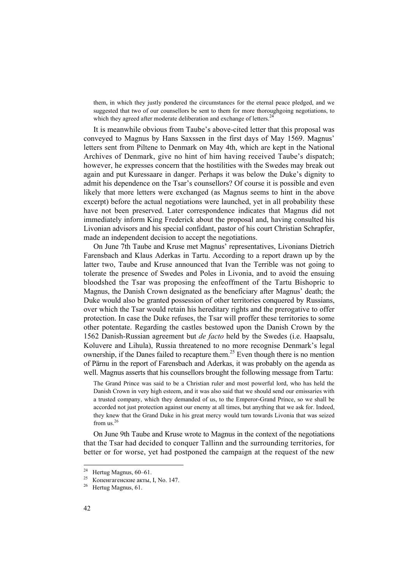them, in which they justly pondered the circumstances for the eternal peace pledged, and we suggested that two of our counsellors be sent to them for more thoroughgoing negotiations, to which they agreed after moderate deliberation and exchange of letters.<sup>24</sup>

It is meanwhile obvious from Taube's above-cited letter that this proposal was conveyed to Magnus by Hans Saxssen in the first days of May 1569. Magnus' letters sent from Piltene to Denmark on May 4th, which are kept in the National Archives of Denmark, give no hint of him having received Taube's dispatch; however, he expresses concern that the hostilities with the Swedes may break out again and put Kuressaare in danger. Perhaps it was below the Duke's dignity to admit his dependence on the Tsar's counsellors? Of course it is possible and even likely that more letters were exchanged (as Magnus seems to hint in the above excerpt) before the actual negotiations were launched, yet in all probability these have not been preserved. Later correspondence indicates that Magnus did not immediately inform King Frederick about the proposal and, having consulted his Livonian advisors and his special confidant, pastor of his court Christian Schrapfer, made an independent decision to accept the negotiations.

On June 7th Taube and Kruse met Magnus' representatives, Livonians Dietrich Farensbach and Klaus Aderkas in Tartu. According to a report drawn up by the latter two, Taube and Kruse announced that Ivan the Terrible was not going to tolerate the presence of Swedes and Poles in Livonia, and to avoid the ensuing bloodshed the Tsar was proposing the enfeoffment of the Tartu Bishopric to Magnus, the Danish Crown designated as the beneficiary after Magnus' death; the Duke would also be granted possession of other territories conquered by Russians, over which the Tsar would retain his hereditary rights and the prerogative to offer protection. In case the Duke refuses, the Tsar will proffer these territories to some other potentate. Regarding the castles bestowed upon the Danish Crown by the 1562 Danish-Russian agreement but *de facto* held by the Swedes (i.e. Haapsalu, Koluvere and Lihula), Russia threatened to no more recognise Denmark's legal ownership, if the Danes failed to recapture them.<sup>25</sup> Even though there is no mention of P‰rnu in the report of Farensbach and Aderkas, it was probably on the agenda as well. Magnus asserts that his counsellors brought the following message from Tartu:

The Grand Prince was said to be a Christian ruler and most powerful lord, who has held the Danish Crown in very high esteem, and it was also said that we should send our emissaries with a trusted company, which they demanded of us, to the Emperor-Grand Prince, so we shall be accorded not just protection against our enemy at all times, but anything that we ask for. Indeed, they knew that the Grand Duke in his great mercy would turn towards Livonia that was seized from us.<sup>26</sup>

On June 9th Taube and Kruse wrote to Magnus in the context of the negotiations that the Tsar had decided to conquer Tallinn and the surrounding territories, for better or for worse, yet had postponed the campaign at the request of the new

<sup>24</sup> Hertug Magnus, 60–61.

<sup>&</sup>lt;sup>25</sup> Копенгагенские акты, I, No. 147.<br><sup>26</sup> Hertug Magnus, 61.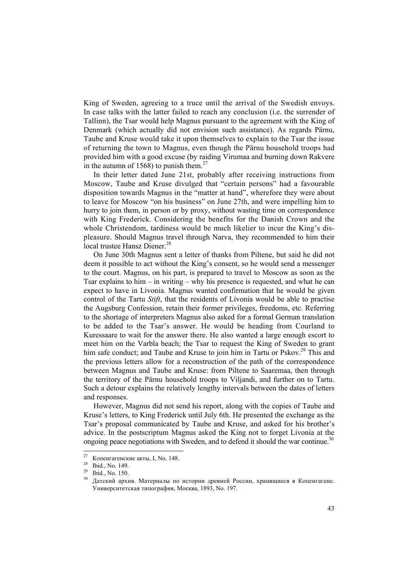King of Sweden, agreeing to a truce until the arrival of the Swedish envoys. In case talks with the latter failed to reach any conclusion (i.e. the surrender of Tallinn), the Tsar would help Magnus pursuant to the agreement with the King of Denmark (which actually did not envision such assistance). As regards Pärnu, Taube and Kruse would take it upon themselves to explain to the Tsar the issue of returning the town to Magnus, even though the Pärnu household troops had provided him with a good excuse (by raiding Virumaa and burning down Rakvere in the autumn of 1568) to punish them.<sup>27</sup>

In their letter dated June 21st, probably after receiving instructions from Moscow, Taube and Kruse divulged that "certain persons" had a favourable disposition towards Magnus in the "matter at hand", wherefore they were about to leave for Moscow "on his business" on June 27th, and were impelling him to hurry to join them, in person or by proxy, without wasting time on correspondence with King Frederick. Considering the benefits for the Danish Crown and the whole Christendom, tardiness would be much likelier to incur the King's displeasure. Should Magnus travel through Narva, they recommended to him their local trustee Hansz Diener.<sup>28</sup>

On June 30th Magnus sent a letter of thanks from Piltene, but said he did not deem it possible to act without the King's consent, so he would send a messenger to the court. Magnus, on his part, is prepared to travel to Moscow as soon as the Tsar explains to him  $-$  in writing  $-$  why his presence is requested, and what he can expect to have in Livonia. Magnus wanted confirmation that he would be given control of the Tartu *Stift*, that the residents of Livonia would be able to practise the Augsburg Confession, retain their former privileges, freedoms, etc. Referring to the shortage of interpreters Magnus also asked for a formal German translation to be added to the Tsarís answer. He would be heading from Courland to Kuressaare to wait for the answer there. He also wanted a large enough escort to meet him on the Varbla beach; the Tsar to request the King of Sweden to grant him safe conduct; and Taube and Kruse to join him in Tartu or Pskov.<sup>29</sup> This and the previous letters allow for a reconstruction of the path of the correspondence between Magnus and Taube and Kruse: from Piltene to Saaremaa, then through the territory of the Pärnu household troops to Viljandi, and further on to Tartu. Such a detour explains the relatively lengthy intervals between the dates of letters and responses.

However, Magnus did not send his report, along with the copies of Taube and Kruse's letters, to King Frederick until July 6th. He presented the exchange as the Tsar's proposal communicated by Taube and Kruse, and asked for his brother's advice. In the postscriptum Magnus asked the King not to forget Livonia at the ongoing peace negotiations with Sweden, and to defend it should the war continue.<sup>30</sup>

 $27$ 27 Копенгагенские акты, I, No. 148.<br><sup>28</sup> Ibid., No. 149.<br><sup>29</sup> Ibid., No. 150.

 $^{29}$  Ibid., No. 150.

Датский архив. Материалы по истории древней России, хранящиеся в Копенгагене. Университетская типография, Москва, 1893, No. 197.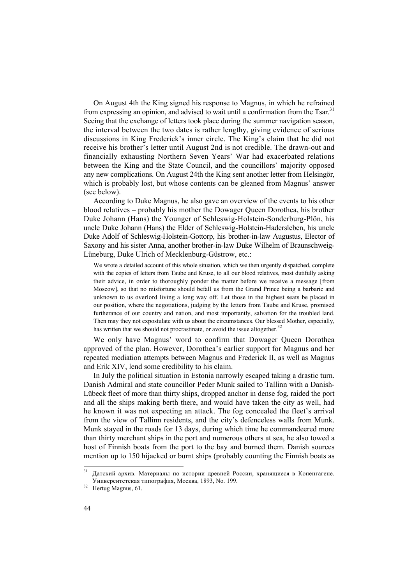On August 4th the King signed his response to Magnus, in which he refrained from expressing an opinion, and advised to wait until a confirmation from the Tsar.<sup>31</sup> Seeing that the exchange of letters took place during the summer navigation season, the interval between the two dates is rather lengthy, giving evidence of serious discussions in King Frederick's inner circle. The King's claim that he did not receive his brother's letter until August 2nd is not credible. The drawn-out and financially exhausting Northern Seven Years' War had exacerbated relations between the King and the State Council, and the councillors' majority opposed any new complications. On August 24th the King sent another letter from Helsingör, which is probably lost, but whose contents can be gleaned from Magnus' answer (see below).

According to Duke Magnus, he also gave an overview of the events to his other blood relatives – probably his mother the Dowager Queen Dorothea, his brother Duke Johann (Hans) the Younger of Schleswig-Holstein-Sonderburg-Plön, his uncle Duke Johann (Hans) the Elder of Schleswig-Holstein-Hadersleben, his uncle Duke Adolf of Schleswig-Holstein-Gottorp, his brother-in-law Augustus, Elector of Saxony and his sister Anna, another brother-in-law Duke Wilhelm of Braunschweig-Lüneburg, Duke Ulrich of Mecklenburg-Güstrow, etc.:

We wrote a detailed account of this whole situation, which we then urgently dispatched, complete with the copies of letters from Taube and Kruse, to all our blood relatives, most dutifully asking their advice, in order to thoroughly ponder the matter before we receive a message [from Moscow], so that no misfortune should befall us from the Grand Prince being a barbaric and unknown to us overlord living a long way off. Let those in the highest seats be placed in our position, where the negotiations, judging by the letters from Taube and Kruse, promised furtherance of our country and nation, and most importantly, salvation for the troubled land. Then may they not expostulate with us about the circumstances. Our blessed Mother, especially, has written that we should not procrastinate, or avoid the issue altogether.<sup>32</sup>

We only have Magnus' word to confirm that Dowager Queen Dorothea approved of the plan. However, Dorotheaís earlier support for Magnus and her repeated mediation attempts between Magnus and Frederick II, as well as Magnus and Erik XIV, lend some credibility to his claim.

In July the political situation in Estonia narrowly escaped taking a drastic turn. Danish Admiral and state councillor Peder Munk sailed to Tallinn with a Danish-Lübeck fleet of more than thirty ships, dropped anchor in dense fog, raided the port and all the ships making berth there, and would have taken the city as well, had he known it was not expecting an attack. The fog concealed the fleet's arrival from the view of Tallinn residents, and the city's defenceless walls from Munk. Munk stayed in the roads for 13 days, during which time he commandeered more than thirty merchant ships in the port and numerous others at sea, he also towed a host of Finnish boats from the port to the bay and burned them. Danish sources mention up to 150 hijacked or burnt ships (probably counting the Finnish boats as

 $31$ Датский архив. Материалы по истории древней России, хранящиеся в Копенгагене. Университетская типография, Москва, 1893, No. 199. 32 Hertug Magnus, 61.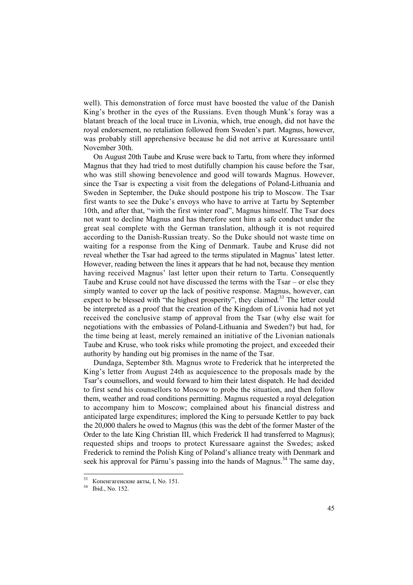well). This demonstration of force must have boosted the value of the Danish King's brother in the eyes of the Russians. Even though Munk's foray was a blatant breach of the local truce in Livonia, which, true enough, did not have the royal endorsement, no retaliation followed from Sweden's part. Magnus, however, was probably still apprehensive because he did not arrive at Kuressaare until November 30th.

On August 20th Taube and Kruse were back to Tartu, from where they informed Magnus that they had tried to most dutifully champion his cause before the Tsar, who was still showing benevolence and good will towards Magnus. However, since the Tsar is expecting a visit from the delegations of Poland-Lithuania and Sweden in September, the Duke should postpone his trip to Moscow. The Tsar first wants to see the Duke's envoys who have to arrive at Tartu by September 10th, and after that, "with the first winter road", Magnus himself. The Tsar does not want to decline Magnus and has therefore sent him a safe conduct under the great seal complete with the German translation, although it is not required according to the Danish-Russian treaty. So the Duke should not waste time on waiting for a response from the King of Denmark. Taube and Kruse did not reveal whether the Tsar had agreed to the terms stipulated in Magnus' latest letter. However, reading between the lines it appears that he had not, because they mention having received Magnus' last letter upon their return to Tartu. Consequently Taube and Kruse could not have discussed the terms with the  $Tsar - or$  else they simply wanted to cover up the lack of positive response. Magnus, however, can expect to be blessed with "the highest prosperity", they claimed. $33$  The letter could be interpreted as a proof that the creation of the Kingdom of Livonia had not yet received the conclusive stamp of approval from the Tsar (why else wait for negotiations with the embassies of Poland-Lithuania and Sweden?) but had, for the time being at least, merely remained an initiative of the Livonian nationals Taube and Kruse, who took risks while promoting the project, and exceeded their authority by handing out big promises in the name of the Tsar.

Dundaga, September 8th. Magnus wrote to Frederick that he interpreted the King's letter from August 24th as acquiescence to the proposals made by the Tsar's counsellors, and would forward to him their latest dispatch. He had decided to first send his counsellors to Moscow to probe the situation, and then follow them, weather and road conditions permitting. Magnus requested a royal delegation to accompany him to Moscow; complained about his financial distress and anticipated large expenditures; implored the King to persuade Kettler to pay back the 20,000 thalers he owed to Magnus (this was the debt of the former Master of the Order to the late King Christian III, which Frederick II had transferred to Magnus); requested ships and troops to protect Kuressaare against the Swedes; asked Frederick to remind the Polish King of Poland's alliance treaty with Denmark and seek his approval for Pärnu's passing into the hands of Magnus.<sup>34</sup> The same day,

<sup>&</sup>lt;sup>33</sup> Копенгагенские акты, I, No. 151.<br><sup>34</sup> Ibid., No. 152.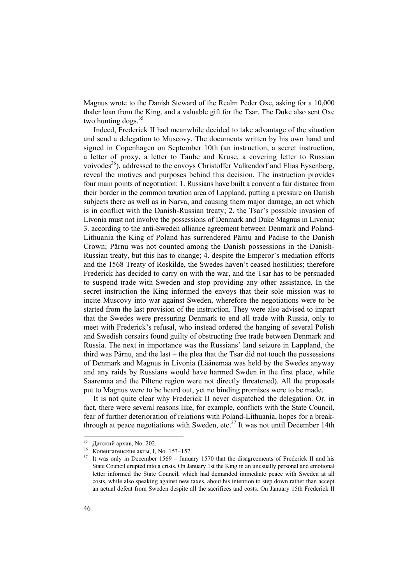Magnus wrote to the Danish Steward of the Realm Peder Oxe, asking for a 10,000 thaler loan from the King, and a valuable gift for the Tsar. The Duke also sent Oxe two hunting dogs.<sup>35</sup>

Indeed, Frederick II had meanwhile decided to take advantage of the situation and send a delegation to Muscovy. The documents written by his own hand and signed in Copenhagen on September 10th (an instruction, a secret instruction, a letter of proxy, a letter to Taube and Kruse, a covering letter to Russian voivodes<sup>36</sup>), addressed to the envoys Christoffer Valkendorf and Elias Eysenberg, reveal the motives and purposes behind this decision. The instruction provides four main points of negotiation: 1. Russians have built a convent a fair distance from their border in the common taxation area of Lappland, putting a pressure on Danish subjects there as well as in Narva, and causing them major damage, an act which is in conflict with the Danish-Russian treaty; 2. the Tsar's possible invasion of Livonia must not involve the possessions of Denmark and Duke Magnus in Livonia; 3. according to the anti-Sweden alliance agreement between Denmark and Poland-Lithuania the King of Poland has surrendered Pärnu and Padise to the Danish Crown; Pärnu was not counted among the Danish possessions in the Danish-Russian treaty, but this has to change; 4. despite the Emperor's mediation efforts and the 1568 Treaty of Roskilde, the Swedes haven't ceased hostilities; therefore Frederick has decided to carry on with the war, and the Tsar has to be persuaded to suspend trade with Sweden and stop providing any other assistance. In the secret instruction the King informed the envoys that their sole mission was to incite Muscovy into war against Sweden, wherefore the negotiations were to be started from the last provision of the instruction. They were also advised to impart that the Swedes were pressuring Denmark to end all trade with Russia, only to meet with Frederick's refusal, who instead ordered the hanging of several Polish and Swedish corsairs found guilty of obstructing free trade between Denmark and Russia. The next in importance was the Russians' land seizure in Lappland, the third was Pärnu, and the last  $-$  the plea that the Tsar did not touch the possessions of Denmark and Magnus in Livonia (Läänemaa was held by the Swedes anyway and any raids by Russians would have harmed Swden in the first place, while Saaremaa and the Piltene region were not directly threatened). All the proposals put to Magnus were to be heard out, yet no binding promises were to be made.

It is not quite clear why Frederick II never dispatched the delegation. Or, in fact, there were several reasons like, for example, conflicts with the State Council, fear of further deterioration of relations with Poland-Lithuania, hopes for a breakthrough at peace negotiations with Sweden, etc.<sup>37</sup> It was not until December 14th

 $35$ 

<sup>&</sup>lt;sup>35</sup> Датский архив, No. 202.<br><sup>36</sup> Копенгагенские акты, I, No. 153–157.<br><sup>37</sup> It was only in December 1569 – January 1570 that the disagreements of Frederick II and his State Council erupted into a crisis. On January 1st the King in an unusually personal and emotional letter informed the State Council, which had demanded immediate peace with Sweden at all costs, while also speaking against new taxes, about his intention to step down rather than accept an actual defeat from Sweden despite all the sacrifices and costs. On January 15th Frederick II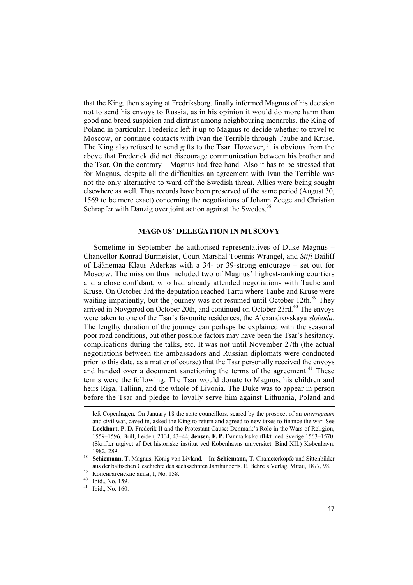that the King, then staying at Fredriksborg, finally informed Magnus of his decision not to send his envoys to Russia, as in his opinion it would do more harm than good and breed suspicion and distrust among neighbouring monarchs, the King of Poland in particular. Frederick left it up to Magnus to decide whether to travel to Moscow, or continue contacts with Ivan the Terrible through Taube and Kruse. The King also refused to send gifts to the Tsar. However, it is obvious from the above that Frederick did not discourage communication between his brother and the Tsar. On the contrary – Magnus had free hand. Also it has to be stressed that for Magnus, despite all the difficulties an agreement with Ivan the Terrible was not the only alternative to ward off the Swedish threat. Allies were being sought elsewhere as well. Thus records have been preserved of the same period (August 30, 1569 to be more exact) concerning the negotiations of Johann Zoege and Christian Schrapfer with Danzig over joint action against the Swedes.<sup>38</sup>

## **MAGNUS' DELEGATION IN MUSCOVY**

Sometime in September the authorised representatives of Duke Magnus – Chancellor Konrad Burmeister, Court Marshal Toennis Wrangel, and *Stift* Bailiff of Läänemaa Klaus Aderkas with a 34- or 39-strong entourage – set out for Moscow. The mission thus included two of Magnus' highest-ranking courtiers and a close confidant, who had already attended negotiations with Taube and Kruse. On October 3rd the deputation reached Tartu where Taube and Kruse were waiting impatiently, but the journey was not resumed until October 12th. $39$  They arrived in Novgorod on October 20th, and continued on October 23rd.<sup>40</sup> The envoys were taken to one of the Tsarís favourite residences, the Alexandrovskaya *sloboda*. The lengthy duration of the journey can perhaps be explained with the seasonal poor road conditions, but other possible factors may have been the Tsar's hesitancy, complications during the talks, etc. It was not until November 27th (the actual negotiations between the ambassadors and Russian diplomats were conducted prior to this date, as a matter of course) that the Tsar personally received the envoys and handed over a document sanctioning the terms of the agreement.<sup>41</sup> These terms were the following. The Tsar would donate to Magnus, his children and heirs Riga, Tallinn, and the whole of Livonia. The Duke was to appear in person before the Tsar and pledge to loyally serve him against Lithuania, Poland and

left Copenhagen. On January 18 the state councillors, scared by the prospect of an *interregnum* and civil war, caved in, asked the King to return and agreed to new taxes to finance the war. See Lockhart, P. D. Frederik II and the Protestant Cause: Denmark's Role in the Wars of Religion, 1559–1596. Brill, Leiden, 2004, 43–44; Jensen, F. P. Danmarks konflikt med Sverige 1563–1570. (Skrifter utgivet af Det historiske institut ved Köbenhavns universitet. Bind XII.) København,

<sup>1982, 289.&</sup>lt;br><sup>38</sup> **Schiemann, T.** Magnus, König von Livland. – In: **Schiemann, T.** Characterköpfe und Sittenbilder aus der baltischen Geschichte des sechszehnten Jahrhunderts. E. Behre's Verlag, Mitau, 1877, 98.<br>
<sup>39</sup> Копенгагенские акты, I, No. 158.<br>
<sup>40</sup> Ibid., No. 159.<br>
<sup>41</sup> Ibid. No. 160

Ibid., No. 160.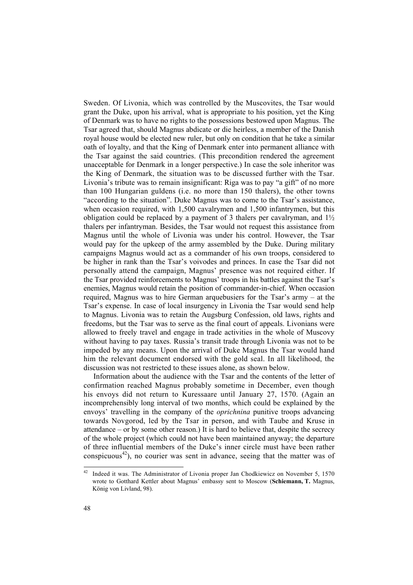Sweden. Of Livonia, which was controlled by the Muscovites, the Tsar would grant the Duke, upon his arrival, what is appropriate to his position, yet the King of Denmark was to have no rights to the possessions bestowed upon Magnus. The Tsar agreed that, should Magnus abdicate or die heirless, a member of the Danish royal house would be elected new ruler, but only on condition that he take a similar oath of loyalty, and that the King of Denmark enter into permanent alliance with the Tsar against the said countries. (This precondition rendered the agreement unacceptable for Denmark in a longer perspective.) In case the sole inheritor was the King of Denmark, the situation was to be discussed further with the Tsar. Livonia's tribute was to remain insignificant: Riga was to pay "a gift" of no more than 100 Hungarian guldens (i.e. no more than 150 thalers), the other towns "according to the situation". Duke Magnus was to come to the Tsar's assistance, when occasion required, with 1,500 cavalrymen and 1,500 infantrymen, but this obligation could be replaced by a payment of 3 thalers per cavalryman, and  $1\frac{1}{2}$ thalers per infantryman. Besides, the Tsar would not request this assistance from Magnus until the whole of Livonia was under his control. However, the Tsar would pay for the upkeep of the army assembled by the Duke. During military campaigns Magnus would act as a commander of his own troops, considered to be higher in rank than the Tsar's voivodes and princes. In case the Tsar did not personally attend the campaign, Magnusí presence was not required either. If the Tsar provided reinforcements to Magnus' troops in his battles against the Tsar's enemies, Magnus would retain the position of commander-in-chief. When occasion required, Magnus was to hire German arquebusiers for the Tsar's army  $-$  at the Tsarís expense. In case of local insurgency in Livonia the Tsar would send help to Magnus. Livonia was to retain the Augsburg Confession, old laws, rights and freedoms, but the Tsar was to serve as the final court of appeals. Livonians were allowed to freely travel and engage in trade activities in the whole of Muscovy without having to pay taxes. Russia's transit trade through Livonia was not to be impeded by any means. Upon the arrival of Duke Magnus the Tsar would hand him the relevant document endorsed with the gold seal. In all likelihood, the discussion was not restricted to these issues alone, as shown below.

Information about the audience with the Tsar and the contents of the letter of confirmation reached Magnus probably sometime in December, even though his envoys did not return to Kuressaare until January 27, 1570. (Again an incomprehensibly long interval of two months, which could be explained by the envoys' travelling in the company of the *oprichnina* punitive troops advancing towards Novgorod, led by the Tsar in person, and with Taube and Kruse in attendance  $-$  or by some other reason.) It is hard to believe that, despite the secrecy of the whole project (which could not have been maintained anyway; the departure of three influential members of the Duke's inner circle must have been rather conspicuous<sup>42</sup>), no courier was sent in advance, seeing that the matter was of

<sup>&</sup>lt;sup>42</sup> Indeed it was. The Administrator of Livonia proper Jan Chodkiewicz on November 5, 1570 wrote to Gotthard Kettler about Magnus' embassy sent to Moscow (Schiemann, T. Magnus, König von Livland, 98).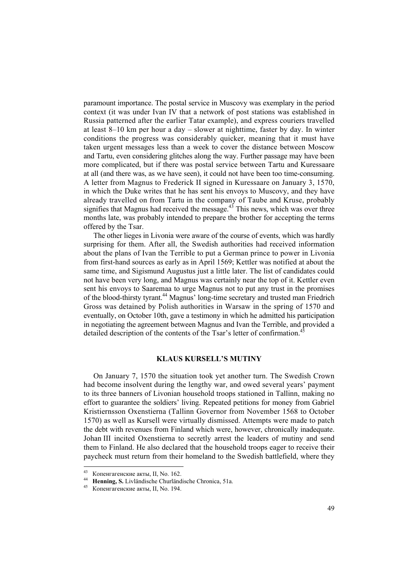paramount importance. The postal service in Muscovy was exemplary in the period context (it was under Ivan IV that a network of post stations was established in Russia patterned after the earlier Tatar example), and express couriers travelled at least 8–10 km per hour a day  $-$  slower at nighttime, faster by day. In winter conditions the progress was considerably quicker, meaning that it must have taken urgent messages less than a week to cover the distance between Moscow and Tartu, even considering glitches along the way. Further passage may have been more complicated, but if there was postal service between Tartu and Kuressaare at all (and there was, as we have seen), it could not have been too time-consuming. A letter from Magnus to Frederick II signed in Kuressaare on January 3, 1570, in which the Duke writes that he has sent his envoys to Muscovy, and they have already travelled on from Tartu in the company of Taube and Kruse, probably signifies that Magnus had received the message.<sup>43</sup> This news, which was over three months late, was probably intended to prepare the brother for accepting the terms offered by the Tsar.

The other lieges in Livonia were aware of the course of events, which was hardly surprising for them. After all, the Swedish authorities had received information about the plans of Ivan the Terrible to put a German prince to power in Livonia from first-hand sources as early as in April 1569; Kettler was notified at about the same time, and Sigismund Augustus just a little later. The list of candidates could not have been very long, and Magnus was certainly near the top of it. Kettler even sent his envoys to Saaremaa to urge Magnus not to put any trust in the promises of the blood-thirsty tyrant.<sup>44</sup> Magnus' long-time secretary and trusted man Friedrich Gross was detained by Polish authorities in Warsaw in the spring of 1570 and eventually, on October 10th, gave a testimony in which he admitted his participation in negotiating the agreement between Magnus and Ivan the Terrible, and provided a detailed description of the contents of the Tsar's letter of confirmation.<sup>4</sup>

#### **KLAUS KURSELL'S MUTINY**

On January 7, 1570 the situation took yet another turn. The Swedish Crown had become insolvent during the lengthy war, and owed several years' payment to its three banners of Livonian household troops stationed in Tallinn, making no effort to guarantee the soldiers' living. Repeated petitions for money from Gabriel Kristiernsson Oxenstierna (Tallinn Governor from November 1568 to October 1570) as well as Kursell were virtually dismissed. Attempts were made to patch the debt with revenues from Finland which were, however, chronically inadequate. Johan III incited Oxenstierna to secretly arrest the leaders of mutiny and send them to Finland. He also declared that the household troops eager to receive their paycheck must return from their homeland to the Swedish battlefield, where they

<sup>43</sup>Копенгагенские акты, II, No. 162. 44 **Henning, S.** Livl‰ndische Churl‰ndische Chronica, 51a. 45 Копенгагенские акты, II, No. 194.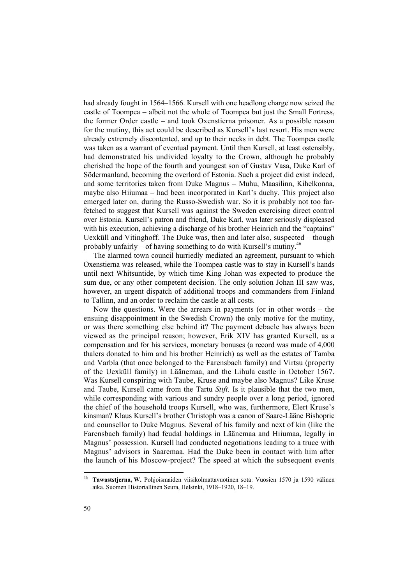had already fought in  $1564-1566$ . Kursell with one headlong charge now seized the castle of Toompea – albeit not the whole of Toompea but just the Small Fortress, the former Order castle  $-$  and took Oxenstierna prisoner. As a possible reason for the mutiny, this act could be described as Kursell's last resort. His men were already extremely discontented, and up to their necks in debt. The Toompea castle was taken as a warrant of eventual payment. Until then Kursell, at least ostensibly, had demonstrated his undivided loyalty to the Crown, although he probably cherished the hope of the fourth and youngest son of Gustav Vasa, Duke Karl of Södermanland, becoming the overlord of Estonia. Such a project did exist indeed, and some territories taken from Duke Magnus – Muhu, Maasilinn, Kihelkonna, maybe also Hiiumaa – had been incorporated in Karl's duchy. This project also emerged later on, during the Russo-Swedish war. So it is probably not too farfetched to suggest that Kursell was against the Sweden exercising direct control over Estonia. Kursell's patron and friend, Duke Karl, was later seriously displeased with his execution, achieving a discharge of his brother Heinrich and the "captains" Uexküll and Vitinghoff. The Duke was, then and later also, suspected – though probably unfairly – of having something to do with Kursell's mutiny.<sup>46</sup>

The alarmed town council hurriedly mediated an agreement, pursuant to which Oxenstierna was released, while the Toompea castle was to stay in Kursell's hands until next Whitsuntide, by which time King Johan was expected to produce the sum due, or any other competent decision. The only solution Johan III saw was, however, an urgent dispatch of additional troops and commanders from Finland to Tallinn, and an order to reclaim the castle at all costs.

Now the questions. Were the arrears in payments (or in other words  $-$  the ensuing disappointment in the Swedish Crown) the only motive for the mutiny, or was there something else behind it? The payment debacle has always been viewed as the principal reason; however, Erik XIV has granted Kursell, as a compensation and for his services, monetary bonuses (a record was made of 4,000 thalers donated to him and his brother Heinrich) as well as the estates of Tamba and Varbla (that once belonged to the Farensbach family) and Virtsu (property of the Uexküll family) in Läänemaa, and the Lihula castle in October 1567. Was Kursell conspiring with Taube, Kruse and maybe also Magnus? Like Kruse and Taube, Kursell came from the Tartu *Stift*. Is it plausible that the two men, while corresponding with various and sundry people over a long period, ignored the chief of the household troops Kursell, who was, furthermore, Elert Kruse's kinsman? Klaus Kursell's brother Christoph was a canon of Saare-Lääne Bishopric and counsellor to Duke Magnus. Several of his family and next of kin (like the Farensbach family) had feudal holdings in Läänemaa and Hiiumaa, legally in Magnus' possession. Kursell had conducted negotiations leading to a truce with Magnus' advisors in Saaremaa. Had the Duke been in contact with him after the launch of his Moscow-project? The speed at which the subsequent events

<sup>&</sup>lt;sup>46</sup> Tawaststjerna, W. Pohjoismaiden viisikolmattavuotinen sota: Vuosien 1570 ja 1590 välinen aika. Suomen Historiallinen Seura, Helsinki, 1918–1920, 18–19.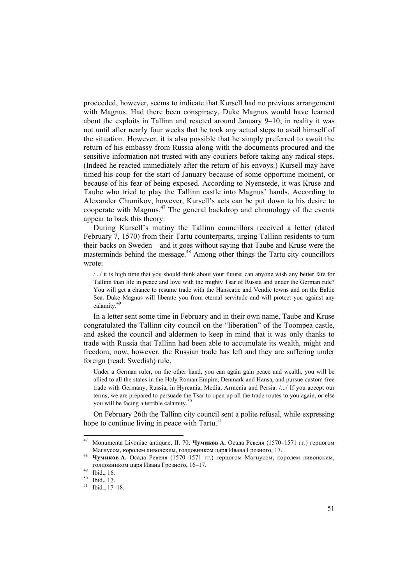proceeded, however, seems to indicate that Kursell had no previous arrangement with Magnus. Had there been conspiracy, Duke Magnus would have learned about the exploits in Tallinn and reacted around January  $9-10$ ; in reality it was not until after nearly four weeks that he took any actual steps to avail himself of the situation. However, it is also possible that he simply preferred to await the return of his embassy from Russia along with the documents procured and the sensitive information not trusted with any couriers before taking any radical steps. (Indeed he reacted immediately after the return of his envoys.) Kursell may have timed his coup for the start of January because of some opportune moment, or because of his fear of being exposed. According to Nyenstede, it was Kruse and Taube who tried to play the Tallinn castle into Magnus' hands. According to Alexander Chumikov, however, Kursell's acts can be put down to his desire to cooperate with Magnus.<sup>47</sup> The general backdrop and chronology of the events appear to back this theory.

During Kursell's mutiny the Tallinn councillors received a letter (dated February 7, 1570) from their Tartu counterparts, urging Tallinn residents to turn their backs on Sweden – and it goes without saying that Taube and Kruse were the masterminds behind the message.<sup>48</sup> Among other things the Tartu city councillors wrote:

/.../ it is high time that you should think about your future; can anyone wish any better fate for Tallinn than life in peace and love with the mighty Tsar of Russia and under the German rule? You will get a chance to resume trade with the Hanseatic and Vendic towns and on the Baltic Sea. Duke Magnus will liberate you from eternal servitude and will protect you against any calamity.<sup>4</sup>

In a letter sent some time in February and in their own name, Taube and Kruse congratulated the Tallinn city council on the "liberation" of the Toompea castle, and asked the council and aldermen to keep in mind that it was only thanks to trade with Russia that Tallinn had been able to accumulate its wealth, might and freedom; now, however, the Russian trade has left and they are suffering under foreign (read: Swedish) rule.

Under a German ruler, on the other hand, you can again gain peace and wealth, you will be allied to all the states in the Holy Roman Empire, Denmark and Hansa, and pursue custom-free trade with Germany, Russia, in Hyrcania, Media, Armenia and Persia. /.../ If you accept our terms, we are prepared to persuade the Tsar to open up all the trade routes to you again, or else you will be facing a terrible calamity.<sup>5</sup>

On February 26th the Tallinn city council sent a polite refusal, while expressing hope to continue living in peace with Tartu. $51$ 

 $47\,$ Monumenta Livoniae antiquae, II, 70; Чумиков А. Осада Ревеля (1570–1571 гг.) герцогом Магнусом, королем ливонским, голдовником царя Ивана Грозного, 17. **Чумиков А.** Осада Ревеля (1570–1571 гг.) герцогом Магнусом, королем ливонским,

голдовником царя Ивана Грозного, 16–17.<br><sup>49</sup> Ibid., 16.<br><sup>50</sup> Hitlers.

Ibid., 17.

 $51$  Ibid.,  $17-18$ .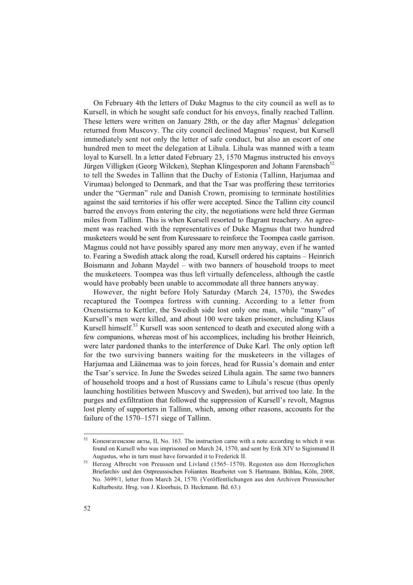On February 4th the letters of Duke Magnus to the city council as well as to Kursell, in which he sought safe conduct for his envoys, finally reached Tallinn. These letters were written on January 28th, or the day after Magnus' delegation returned from Muscovy. The city council declined Magnus' request, but Kursell immediately sent not only the letter of safe conduct, but also an escort of one hundred men to meet the delegation at Lihula. Lihula was manned with a team loyal to Kursell. In a letter dated February 23, 1570 Magnus instructed his envoys Jürgen Villigken (Georg Wilcken), Stephan Klingesporen and Johann Farensbach<sup>52</sup> to tell the Swedes in Tallinn that the Duchy of Estonia (Tallinn, Harjumaa and Virumaa) belonged to Denmark, and that the Tsar was proffering these territories under the "German" rule and Danish Crown, promising to terminate hostilities against the said territories if his offer were accepted. Since the Tallinn city council barred the envoys from entering the city, the negotiations were held three German miles from Tallinn. This is when Kursell resorted to flagrant treachery. An agreement was reached with the representatives of Duke Magnus that two hundred musketeers would be sent from Kuressaare to reinforce the Toompea castle garrison. Magnus could not have possibly spared any more men anyway, even if he wanted to. Fearing a Swedish attack along the road, Kursell ordered his captains – Heinrich Boismann and Johann Maydel  $-$  with two banners of household troops to meet the musketeers. Toompea was thus left virtually defenceless, although the castle would have probably been unable to accommodate all three banners anyway.

However, the night before Holy Saturday (March 24, 1570), the Swedes recaptured the Toompea fortress with cunning. According to a letter from Oxenstierna to Kettler, the Swedish side lost only one man, while "many" of Kursell's men were killed, and about 100 were taken prisoner, including Klaus Kursell himself.<sup>53</sup> Kursell was soon sentenced to death and executed along with a few companions, whereas most of his accomplices, including his brother Heinrich, were later pardoned thanks to the interference of Duke Karl. The only option left for the two surviving banners waiting for the musketeers in the villages of Harjumaa and Läänemaa was to join forces, head for Russia's domain and enter the Tsarís service. In June the Swedes seized Lihula again. The same two banners of household troops and a host of Russians came to Lihulaís rescue (thus openly launching hostilities between Muscovy and Sweden), but arrived too late. In the purges and exfiltration that followed the suppression of Kursell's revolt, Magnus lost plenty of supporters in Tallinn, which, among other reasons, accounts for the failure of the  $1570-1571$  siege of Tallinn.

 $52$ 52 Копенгагенские акты, II, No. 163. The instruction came with a note according to which it was found on Kursell who was imprisoned on March 24, 1570, and sent by Erik XIV to Sigismund II Augustus, who in turn must have forwarded it to Frederick II.<br><sup>53</sup> Herzog Albrecht von Preussen und Livland (1565–1570). Regesten aus dem Herzoglichen

Briefarchiv und den Ostpreussischen Folianten. Bearbeitet von S. Hartmann. Böhlau, Köln, 2008, No. 3699/1, letter from March 24, 1570. (Veröffentlichungen aus den Archiven Preussischer Kulturbesitz. Hrsg. von J. Kloorhuis, D. Heckmann. Bd. 63.)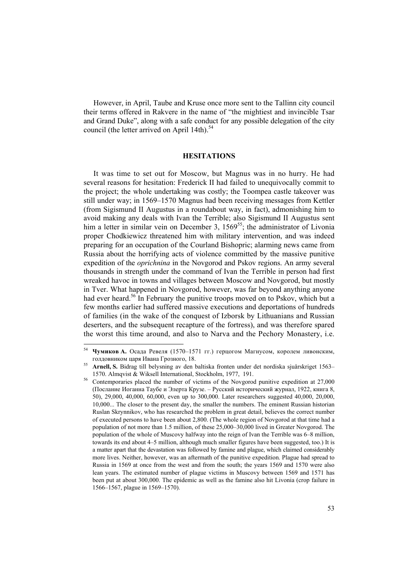However, in April, Taube and Kruse once more sent to the Tallinn city council their terms offered in Rakvere in the name of "the mightiest and invincible Tsar and Grand Duke", along with a safe conduct for any possible delegation of the city council (the letter arrived on April 14th).<sup>54</sup>

# **HESITATIONS**

It was time to set out for Moscow, but Magnus was in no hurry. He had several reasons for hesitation: Frederick II had failed to unequivocally commit to the project; the whole undertaking was costly; the Toompea castle takeover was still under way; in 1569–1570 Magnus had been receiving messages from Kettler (from Sigismund II Augustus in a roundabout way, in fact), admonishing him to avoid making any deals with Ivan the Terrible; also Sigismund II Augustus sent him a letter in similar vein on December 3,  $1569^{55}$ ; the administrator of Livonia proper Chodkiewicz threatened him with military intervention, and was indeed preparing for an occupation of the Courland Bishopric; alarming news came from Russia about the horrifying acts of violence committed by the massive punitive expedition of the *oprichnina* in the Novgorod and Pskov regions. An army several thousands in strength under the command of Ivan the Terrible in person had first wreaked havoc in towns and villages between Moscow and Novgorod, but mostly in Tver. What happened in Novgorod, however, was far beyond anything anyone had ever heard.<sup>56</sup> In February the punitive troops moved on to Pskov, which but a few months earlier had suffered massive executions and deportations of hundreds of families (in the wake of the conquest of Izborsk by Lithuanians and Russian deserters, and the subsequent recapture of the fortress), and was therefore spared the worst this time around, and also to Narva and the Pechory Monastery, i.e.

<sup>54</sup> Чумиков А. Осада Ревеля (1570-1571 гг.) герцогом Магнусом, королем ливонским, голдовником царя Ивана Грозного, 18.<br><sup>55</sup> **Arnell, S.** Bidrag till belysning av den baltiska fronten under det nordiska sjuårskriget 1563–

<sup>1570.</sup> Almqvist & Wiksell International, Stockholm, 1977, 191. 56 Contemporaries placed the number of victims of the Novgorod punitive expedition at 27,000 (Послание Иоганна Таубе и Элерта Крузе. – Русский исторический журнал, 1922, книга 8, 50), 29,000, 40,000, 60,000, even up to 300,000. Later researchers suggested 40,000, 20,000, 10,000... The closer to the present day, the smaller the numbers. The eminent Russian historian Ruslan Skrynnikov, who has researched the problem in great detail, believes the correct number of executed persons to have been about 2,800. (The whole region of Novgorod at that time had a population of not more than 1.5 million, of these 25,000–30,000 lived in Greater Novgorod. The population of the whole of Muscovy halfway into the reign of Ivan the Terrible was 6–8 million, towards its end about 4–5 million, although much smaller figures have been suggested, too.) It is a matter apart that the devastation was followed by famine and plague, which claimed considerably more lives. Neither, however, was an aftermath of the punitive expedition. Plague had spread to Russia in 1569 at once from the west and from the south; the years 1569 and 1570 were also lean years. The estimated number of plague victims in Muscovy between 1569 and 1571 has been put at about 300,000. The epidemic as well as the famine also hit Livonia (crop failure in  $1566 - 1567$ , plague in  $1569 - 1570$ ).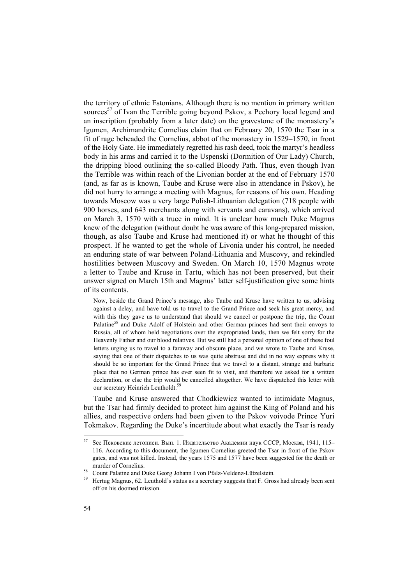the territory of ethnic Estonians. Although there is no mention in primary written sources<sup>57</sup> of Ivan the Terrible going beyond Pskov, a Pechory local legend and an inscription (probably from a later date) on the gravestone of the monastery's Igumen, Archimandrite Cornelius claim that on February 20, 1570 the Tsar in a fit of rage beheaded the Cornelius, abbot of the monastery in  $1529-1570$ , in front of the Holy Gate. He immediately regretted his rash deed, took the martyr's headless body in his arms and carried it to the Uspenski (Dormition of Our Lady) Church, the dripping blood outlining the so-called Bloody Path. Thus, even though Ivan the Terrible was within reach of the Livonian border at the end of February 1570 (and, as far as is known, Taube and Kruse were also in attendance in Pskov), he did not hurry to arrange a meeting with Magnus, for reasons of his own. Heading towards Moscow was a very large Polish-Lithuanian delegation (718 people with 900 horses, and 643 merchants along with servants and caravans), which arrived on March 3, 1570 with a truce in mind. It is unclear how much Duke Magnus knew of the delegation (without doubt he was aware of this long-prepared mission, though, as also Taube and Kruse had mentioned it) or what he thought of this prospect. If he wanted to get the whole of Livonia under his control, he needed an enduring state of war between Poland-Lithuania and Muscovy, and rekindled hostilities between Muscovy and Sweden. On March 10, 1570 Magnus wrote a letter to Taube and Kruse in Tartu, which has not been preserved, but their answer signed on March 15th and Magnus' latter self-justification give some hints of its contents.

Now, beside the Grand Prince's message, also Taube and Kruse have written to us, advising against a delay, and have told us to travel to the Grand Prince and seek his great mercy, and with this they gave us to understand that should we cancel or postpone the trip, the Count Palatine<sup>58</sup> and Duke Adolf of Holstein and other German princes had sent their envoys to Russia, all of whom held negotiations over the expropriated lands, then we felt sorry for the Heavenly Father and our blood relatives. But we still had a personal opinion of one of these foul letters urging us to travel to a faraway and obscure place, and we wrote to Taube and Kruse, saying that one of their dispatches to us was quite abstruse and did in no way express why it should be so important for the Grand Prince that we travel to a distant, strange and barbaric place that no German prince has ever seen fit to visit, and therefore we asked for a written declaration, or else the trip would be cancelled altogether. We have dispatched this letter with our secretary Heinrich Leutholdt.<sup>59</sup>

Taube and Kruse answered that Chodkiewicz wanted to intimidate Magnus, but the Tsar had firmly decided to protect him against the King of Poland and his allies, and respective orders had been given to the Pskov voivode Prince Yuri Tokmakov. Regarding the Duke's incertitude about what exactly the Tsar is ready

 $57$  See Псковские летописи. Вып. 1. Издательство Академии наук СССР, Москва, 1941, 115-116. According to this document, the Igumen Cornelius greeted the Tsar in front of the Pskov gates, and was not killed. Instead, the years 1575 and 1577 have been suggested for the death or murder of Cornelius.<br><sup>58</sup> Count Palatine and Duke Georg Johann I von Pfalz-Veldenz-Lützelstein.<br><sup>59</sup> Hertug Magnus, 62. Leuthold's status as a secretary suggests that F. Gross had already been sent

off on his doomed mission.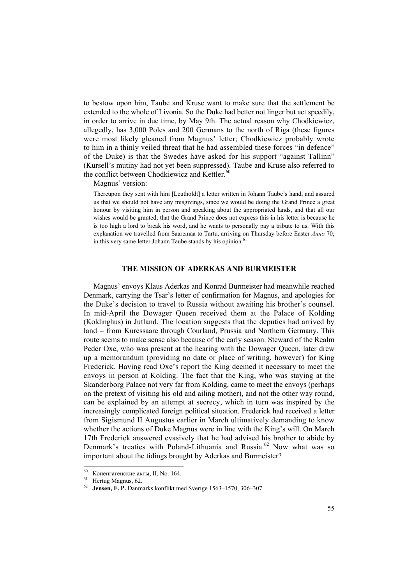to bestow upon him, Taube and Kruse want to make sure that the settlement be extended to the whole of Livonia. So the Duke had better not linger but act speedily, in order to arrive in due time, by May 9th. The actual reason why Chodkiewicz, allegedly, has 3,000 Poles and 200 Germans to the north of Riga (these figures were most likely gleaned from Magnus' letter; Chodkiewicz probably wrote to him in a thinly veiled threat that he had assembled these forces "in defence" of the Duke) is that the Swedes have asked for his support "against Tallinn" (Kursell's mutiny had not yet been suppressed). Taube and Kruse also referred to the conflict between Chodkiewicz and Kettler. $60$ 

Magnus' version:

Thereupon they sent with him [Leutholdt] a letter written in Johann Taube's hand, and assured us that we should not have any misgivings, since we would be doing the Grand Prince a great honour by visiting him in person and speaking about the appropriated lands, and that all our wishes would be granted; that the Grand Prince does not express this in his letter is because he is too high a lord to break his word, and he wants to personally pay a tribute to us. With this explanation we travelled from Saaremaa to Tartu, arriving on Thursday before Easter *Anno* 70; in this very same letter Johann Taube stands by his opinion.<sup>61</sup>

#### **THE MISSION OF ADERKAS AND BURMEISTER**

Magnus' envoys Klaus Aderkas and Konrad Burmeister had meanwhile reached Denmark, carrying the Tsar's letter of confirmation for Magnus, and apologies for the Duke's decision to travel to Russia without awaiting his brother's counsel. In mid-April the Dowager Queen received them at the Palace of Kolding (Koldinghus) in Jutland. The location suggests that the deputies had arrived by land – from Kuressaare through Courland, Prussia and Northern Germany. This route seems to make sense also because of the early season. Steward of the Realm Peder Oxe, who was present at the hearing with the Dowager Queen, later drew up a memorandum (providing no date or place of writing, however) for King Frederick. Having read Oxe's report the King deemed it necessary to meet the envoys in person at Kolding. The fact that the King, who was staying at the Skanderborg Palace not very far from Kolding, came to meet the envoys (perhaps on the pretext of visiting his old and ailing mother), and not the other way round, can be explained by an attempt at secrecy, which in turn was inspired by the increasingly complicated foreign political situation. Frederick had received a letter from Sigismund II Augustus earlier in March ultimatively demanding to know whether the actions of Duke Magnus were in line with the King's will. On March 17th Frederick answered evasively that he had advised his brother to abide by Denmark's treaties with Poland-Lithuania and Russia.<sup>62</sup> Now what was so important about the tidings brought by Aderkas and Burmeister?

<sup>60</sup> <sup>60</sup> Копенгагенские акты, II, No. 164.<br><sup>61</sup> Hertug Magnus, 62.<br><sup>62</sup> Jansse E.**P.** Democrats benefit to

Jensen, F. P. Danmarks konflikt med Sverige 1563–1570, 306–307.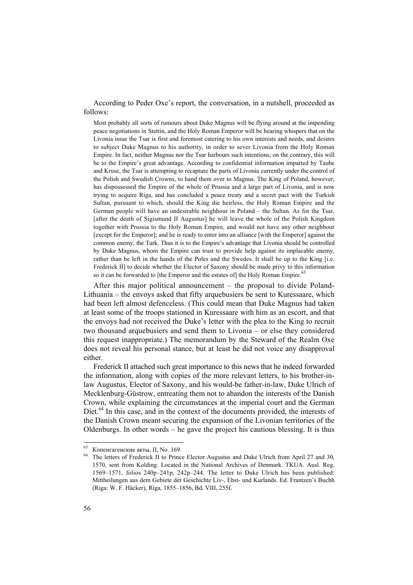According to Peder Oxe's report, the conversation, in a nutshell, proceeded as follows:

Most probably all sorts of rumours about Duke Magnus will be flying around at the impending peace negotiations in Stettin, and the Holy Roman Emperor will be hearing whispers that on the Livonia issue the Tsar is first and foremost catering to his own interests and needs, and desires to subject Duke Magnus to his authority, in order to sever Livonia from the Holy Roman Empire. In fact, neither Magnus nor the Tsar harbours such intentions; on the contrary, this will be to the Empire's great advantage. According to confidential information imparted by Taube and Kruse, the Tsar is attempting to recapture the parts of Livonia currently under the control of the Polish and Swedish Crowns, to hand them over to Magnus. The King of Poland, however, has dispossessed the Empire of the whole of Prussia and a large part of Livonia, and is now trying to acquire Riga, and has concluded a peace treaty and a secret pact with the Turkish Sultan, pursuant to which, should the King die heirless, the Holy Roman Empire and the German people will have an undesirable neighbour in Poland  $-$  the Sultan. As for the Tsar, [after the death of Sigismund II Augustus] he will leave the whole of the Polish Kingdom together with Prussia to the Holy Roman Empire, and would not have any other neighbour [except for the Emperor]; and he is ready to enter into an alliance [with the Emperor] against the common enemy, the Turk. Thus it is to the Empire's advantage that Livonia should be controlled by Duke Magnus, whom the Empire can trust to provide help against its implacable enemy, rather than be left in the hands of the Poles and the Swedes. It shall be up to the King [i.e. Frederick II] to decide whether the Elector of Saxony should be made privy to this information so it can be forwarded to [the Emperor and the estates of] the Holy Roman Empire.<sup>63</sup>

After this major political announcement  $-$  the proposal to divide Poland-Lithuania  $-$  the envoys asked that fifty arquebusiers be sent to Kuressaare, which had been left almost defenceless. (This could mean that Duke Magnus had taken at least some of the troops stationed in Kuressaare with him as an escort, and that the envoys had not received the Duke's letter with the plea to the King to recruit two thousand arquebusiers and send them to Livonia  $-$  or else they considered this request inappropriate.) The memorandum by the Steward of the Realm Oxe does not reveal his personal stance, but at least he did not voice any disapproval either.

Frederick II attached such great importance to this news that he indeed forwarded the information, along with copies of the more relevant letters, to his brother-inlaw Augustus, Elector of Saxony, and his would-be father-in-law, Duke Ulrich of Mecklenburg-Güstrow, entreating them not to abandon the interests of the Danish Crown, while explaining the circumstances at the imperial court and the German Diet.<sup>64</sup> In this case, and in the context of the documents provided, the interests of the Danish Crown meant securing the expansion of the Livonian territories of the Oldenburgs. In other words  $-$  he gave the project his cautious blessing. It is thus

<sup>&</sup>lt;sup>63</sup> Копенгагенские акты, II, No. 169.<br><sup>64</sup> The letters of Frederick II to Prince Elector Augustus and Duke Ulrich from April 27 and 30, 1570, sent from Kolding. Located in the National Archives of Denmark. TKUA. Ausl. Reg. 1569-1571, folios 240p-241p, 242p-244. The letter to Duke Ulrich has been published: Mittheilungen aus dem Gebiete der Geschichte Liv-, Ehst- und Kurlands. Ed. Frantzen's Buchh (Riga: W. F. Häcker), Riga, 1855-1856, Bd. VIII, 255f.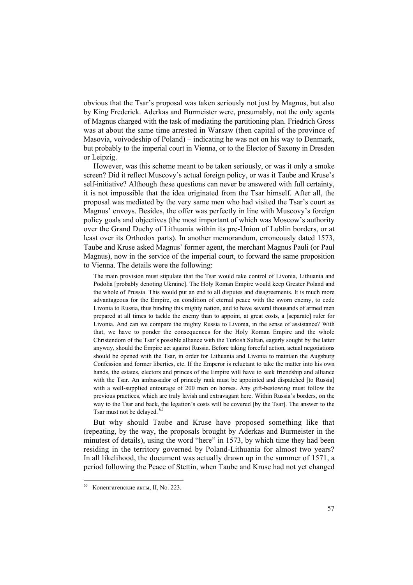obvious that the Tsarís proposal was taken seriously not just by Magnus, but also by King Frederick. Aderkas and Burmeister were, presumably, not the only agents of Magnus charged with the task of mediating the partitioning plan. Friedrich Gross was at about the same time arrested in Warsaw (then capital of the province of Masovia, voivodeship of Poland)  $-$  indicating he was not on his way to Denmark, but probably to the imperial court in Vienna, or to the Elector of Saxony in Dresden or Leipzig.

However, was this scheme meant to be taken seriously, or was it only a smoke screen? Did it reflect Muscovy's actual foreign policy, or was it Taube and Kruse's self-initiative? Although these questions can never be answered with full certainty, it is not impossible that the idea originated from the Tsar himself. After all, the proposal was mediated by the very same men who had visited the Tsar's court as Magnus' envoys. Besides, the offer was perfectly in line with Muscovy's foreign policy goals and objectives (the most important of which was Moscow's authority over the Grand Duchy of Lithuania within its pre-Union of Lublin borders, or at least over its Orthodox parts). In another memorandum, erroneously dated 1573, Taube and Kruse asked Magnus' former agent, the merchant Magnus Pauli (or Paul Magnus), now in the service of the imperial court, to forward the same proposition to Vienna. The details were the following:

The main provision must stipulate that the Tsar would take control of Livonia, Lithuania and Podolia [probably denoting Ukraine]. The Holy Roman Empire would keep Greater Poland and the whole of Prussia. This would put an end to all disputes and disagreements. It is much more advantageous for the Empire, on condition of eternal peace with the sworn enemy, to cede Livonia to Russia, thus binding this mighty nation, and to have several thousands of armed men prepared at all times to tackle the enemy than to appoint, at great costs, a [separate] ruler for Livonia. And can we compare the mighty Russia to Livonia, in the sense of assistance? With that, we have to ponder the consequences for the Holy Roman Empire and the whole Christendom of the Tsarís possible alliance with the Turkish Sultan, eagerly sought by the latter anyway, should the Empire act against Russia. Before taking forceful action, actual negotiations should be opened with the Tsar, in order for Lithuania and Livonia to maintain the Augsburg Confession and former liberties, etc. If the Emperor is reluctant to take the matter into his own hands, the estates, electors and princes of the Empire will have to seek friendship and alliance with the Tsar. An ambassador of princely rank must be appointed and dispatched [to Russia] with a well-supplied entourage of 200 men on horses. Any gift-bestowing must follow the previous practices, which are truly lavish and extravagant here. Within Russiaís borders, on the way to the Tsar and back, the legation's costs will be covered [by the Tsar]. The answer to the Tsar must not be delayed.<sup>65</sup>

But why should Taube and Kruse have proposed something like that (repeating, by the way, the proposals brought by Aderkas and Burmeister in the minutest of details), using the word "here" in 1573, by which time they had been residing in the territory governed by Poland-Lithuania for almost two years? In all likelihood, the document was actually drawn up in the summer of 1571, a period following the Peace of Stettin, when Taube and Kruse had not yet changed

<sup>65</sup> 65 Копенгагенские акты, II, No. 223.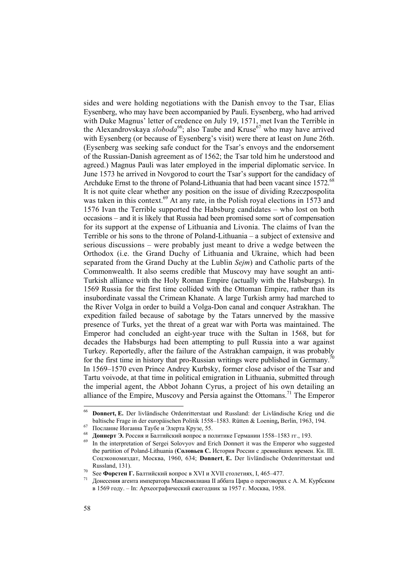sides and were holding negotiations with the Danish envoy to the Tsar, Elias Eysenberg, who may have been accompanied by Pauli. Eysenberg, who had arrived with Duke Magnus' letter of credence on July 19, 1571, met Ivan the Terrible in the Alexandrovskaya *sloboda*<sup>66</sup>; also Taube and Kruse<sup>67</sup> who may have arrived with Eysenberg (or because of Eysenberg's visit) were there at least on June 26th. (Eysenberg was seeking safe conduct for the Tsar's envoys and the endorsement of the Russian-Danish agreement as of 1562; the Tsar told him he understood and agreed.) Magnus Pauli was later employed in the imperial diplomatic service. In June 1573 he arrived in Novgorod to court the Tsar's support for the candidacy of Archduke Ernst to the throne of Poland-Lithuania that had been vacant since 1572.<sup>68</sup> It is not quite clear whether any position on the issue of dividing Rzeczpospolita was taken in this context.<sup>69</sup> At any rate, in the Polish royal elections in  $1573$  and 1576 Ivan the Terrible supported the Habsburg candidates  $-$  who lost on both occasions – and it is likely that Russia had been promised some sort of compensation for its support at the expense of Lithuania and Livonia. The claims of Ivan the Terrible or his sons to the throne of Poland-Lithuania  $-\alpha$  subject of extensive and serious discussions – were probably just meant to drive a wedge between the Orthodox (i.e. the Grand Duchy of Lithuania and Ukraine, which had been separated from the Grand Duchy at the Lublin *Sejm*) and Catholic parts of the Commonwealth. It also seems credible that Muscovy may have sought an anti-Turkish alliance with the Holy Roman Empire (actually with the Habsburgs). In 1569 Russia for the first time collided with the Ottoman Empire, rather than its insubordinate vassal the Crimean Khanate. A large Turkish army had marched to the River Volga in order to build a Volga-Don canal and conquer Astrakhan. The expedition failed because of sabotage by the Tatars unnerved by the massive presence of Turks, yet the threat of a great war with Porta was maintained. The Emperor had concluded an eight-year truce with the Sultan in 1568, but for decades the Habsburgs had been attempting to pull Russia into a war against Turkey. Reportedly, after the failure of the Astrakhan campaign, it was probably for the first time in history that pro-Russian writings were published in Germany.<sup>7</sup> In 1569–1570 even Prince Andrey Kurbsky, former close advisor of the Tsar and Tartu voivode, at that time in political emigration in Lithuania, submitted through the imperial agent, the Abbot Johann Cyrus, a project of his own detailing an alliance of the Empire, Muscovy and Persia against the Ottomans.<sup>71</sup> The Emperor

<sup>66</sup> **Donnert, E.** Der livländische Ordenritterstaat und Russland: der Livländische Krieg und die baltische Frage in der europäischen Politik 1558–1583. Rütten & Loening, Berlin, 1963, 194.<br>
<sup>67</sup> Послание Иоганна Таубе и Элерта Крузе, 55.<br> **Доннерт Э.** Россия и Балтийский вопрос в политике Германии 1558–1583 гг., 193.

the partition of Poland-Lithuania (**Соловьев С.** История России с древнейших времeн. Кн. III. Соцэкономиздат, Москва, 1960, 634; **Donnert**, **E.** Der livl‰ndische Ordenritterstaat und Russland, 131).<br><sup>70</sup> See **Форстен Г.** Балтийский вопрос в XVI и XVII столетиях, I, 465–477.<br><sup>71</sup> Донесения агента императора Максимилиана II аббата Цира о переговорах с А. М. Курбским

в 1569 году. – In: Археографический ежегодник за 1957 г. Москва, 1958.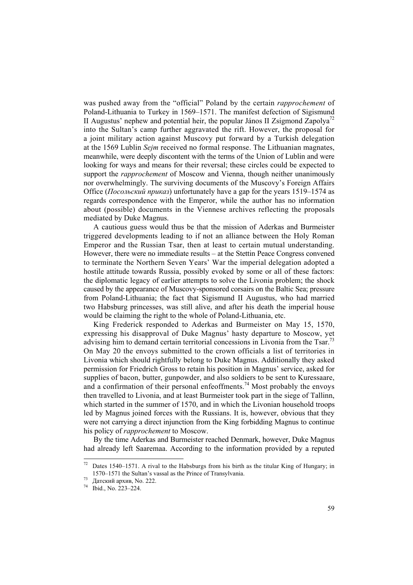was pushed away from the "official" Poland by the certain *rapprochement* of Poland-Lithuania to Turkey in 1569–1571. The manifest defection of Sigismund II Augustus' nephew and potential heir, the popular János II Zsigmond Zapolya<sup>72</sup> into the Sultan's camp further aggravated the rift. However, the proposal for a joint military action against Muscovy put forward by a Turkish delegation at the 1569 Lublin *Sejm* received no formal response. The Lithuanian magnates, meanwhile, were deeply discontent with the terms of the Union of Lublin and were looking for ways and means for their reversal; these circles could be expected to support the *rapprochement* of Moscow and Vienna, though neither unanimously nor overwhelmingly. The surviving documents of the Muscovy's Foreign Affairs Office (*Посольский приказ*) unfortunately have a gap for the years 1519–1574 as regards correspondence with the Emperor, while the author has no information about (possible) documents in the Viennese archives reflecting the proposals mediated by Duke Magnus.

A cautious guess would thus be that the mission of Aderkas and Burmeister triggered developments leading to if not an alliance between the Holy Roman Emperor and the Russian Tsar, then at least to certain mutual understanding. However, there were no immediate results – at the Stettin Peace Congress convened to terminate the Northern Seven Years' War the imperial delegation adopted a hostile attitude towards Russia, possibly evoked by some or all of these factors: the diplomatic legacy of earlier attempts to solve the Livonia problem; the shock caused by the appearance of Muscovy-sponsored corsairs on the Baltic Sea; pressure from Poland-Lithuania; the fact that Sigismund II Augustus, who had married two Habsburg princesses, was still alive, and after his death the imperial house would be claiming the right to the whole of Poland-Lithuania, etc.

King Frederick responded to Aderkas and Burmeister on May 15, 1570, expressing his disapproval of Duke Magnus' hasty departure to Moscow, yet advising him to demand certain territorial concessions in Livonia from the Tsar.<sup>73</sup> On May 20 the envoys submitted to the crown officials a list of territories in Livonia which should rightfully belong to Duke Magnus. Additionally they asked permission for Friedrich Gross to retain his position in Magnus' service, asked for supplies of bacon, butter, gunpowder, and also soldiers to be sent to Kuressaare, and a confirmation of their personal enfeoffments.<sup>74</sup> Most probably the envoys then travelled to Livonia, and at least Burmeister took part in the siege of Tallinn, which started in the summer of 1570, and in which the Livonian household troops led by Magnus joined forces with the Russians. It is, however, obvious that they were not carrying a direct injunction from the King forbidding Magnus to continue his policy of *rapprochement* to Moscow.

By the time Aderkas and Burmeister reached Denmark, however, Duke Magnus had already left Saaremaa. According to the information provided by a reputed

Dates 1540–1571. A rival to the Habsburgs from his birth as the titular King of Hungary; in 1570–1571 the Sultan's vassal as the Prince of Transylvania.<br>
73 Датский архив, No. 222. 74 Ibid., No. 223–224.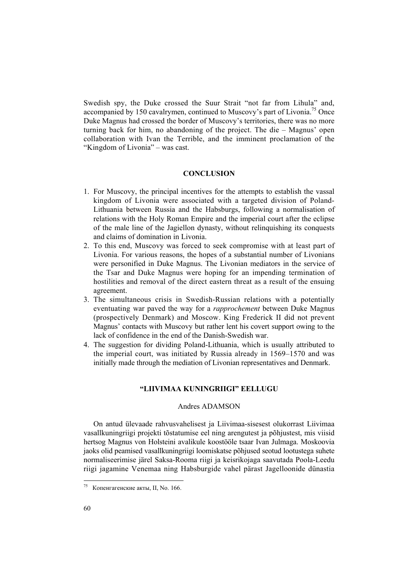Swedish spy, the Duke crossed the Suur Strait "not far from Lihula" and, accompanied by 150 cavalrymen, continued to Muscovy's part of Livonia.<sup>75</sup> Once Duke Magnus had crossed the border of Muscovy's territories, there was no more turning back for him, no abandoning of the project. The die  $-$  Magnus' open collaboration with Ivan the Terrible, and the imminent proclamation of the "Kingdom of Livonia" – was cast.

#### **CONCLUSION**

- 1. For Muscovy, the principal incentives for the attempts to establish the vassal kingdom of Livonia were associated with a targeted division of Poland-Lithuania between Russia and the Habsburgs, following a normalisation of relations with the Holy Roman Empire and the imperial court after the eclipse of the male line of the Jagiellon dynasty, without relinquishing its conquests and claims of domination in Livonia.
- 2. To this end, Muscovy was forced to seek compromise with at least part of Livonia. For various reasons, the hopes of a substantial number of Livonians were personified in Duke Magnus. The Livonian mediators in the service of the Tsar and Duke Magnus were hoping for an impending termination of hostilities and removal of the direct eastern threat as a result of the ensuing agreement.
- 3. The simultaneous crisis in Swedish-Russian relations with a potentially eventuating war paved the way for a *rapprochement* between Duke Magnus (prospectively Denmark) and Moscow. King Frederick II did not prevent Magnus' contacts with Muscovy but rather lent his covert support owing to the lack of confidence in the end of the Danish-Swedish war.
- 4. The suggestion for dividing Poland-Lithuania, which is usually attributed to the imperial court, was initiated by Russia already in  $1569-1570$  and was initially made through the mediation of Livonian representatives and Denmark.

# **ìLIIVIMAA KUNINGRIIGIî EELLUGU**

# Andres ADAMSON

On antud ülevaade rahvusvahelisest ja Liivimaa-sisesest olukorrast Liivimaa vasallkuningriigi projekti tõstatumise eel ning arengutest ja põhjustest, mis viisid hertsog Magnus von Holsteini avalikule koostööle tsaar Ivan Julmaga. Moskoovia jaoks olid peamised vasallkuningriigi loomiskatse põhjused seotud lootustega suhete normaliseerimise järel Saksa-Rooma riigi ja keisrikojaga saavutada Poola-Leedu riigi jagamine Venemaa ning Habsburgide vahel pärast Jagelloonide dünastia

<sup>75</sup> 75 Копенгагенские акты, II, No. 166.